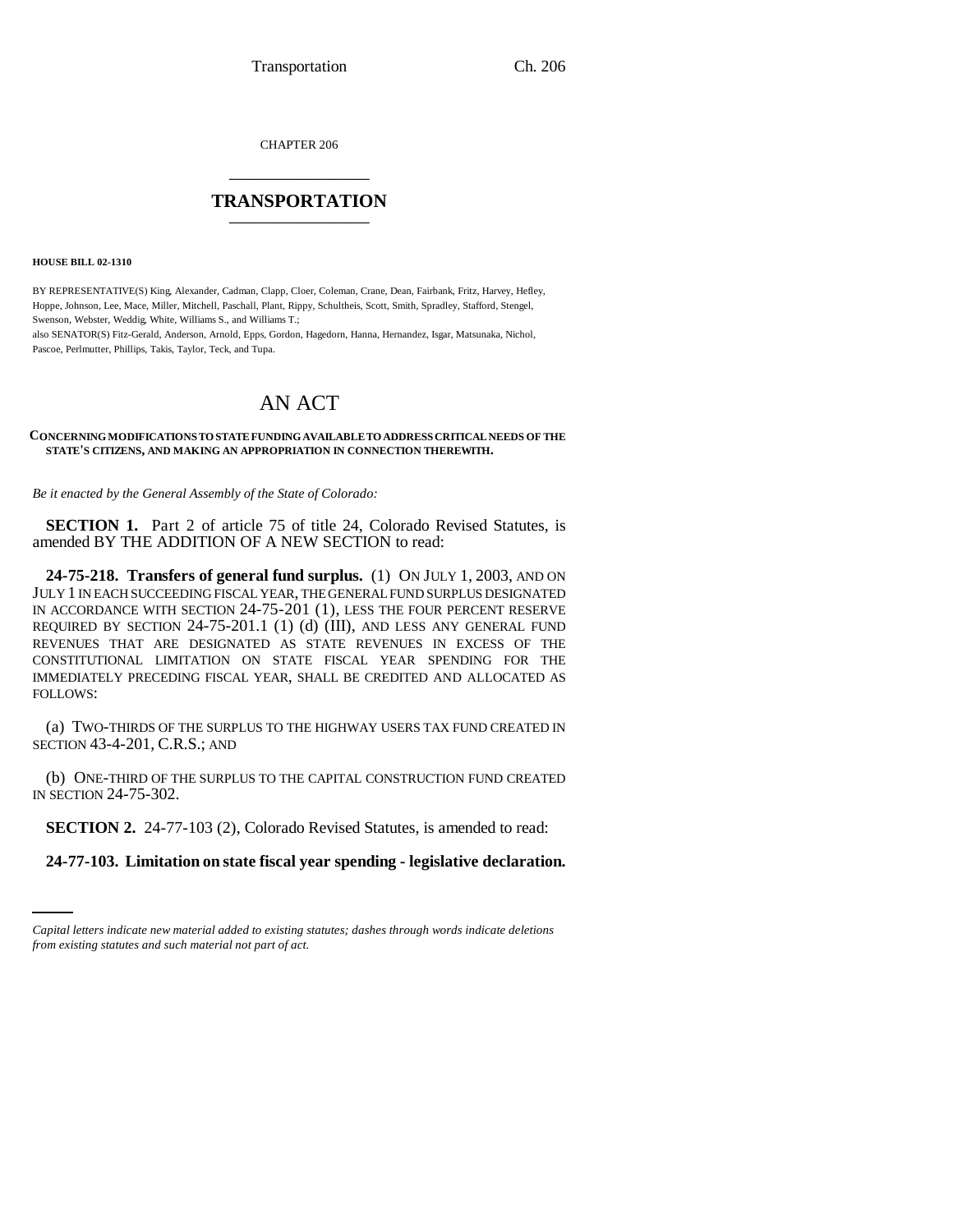CHAPTER 206 \_\_\_\_\_\_\_\_\_\_\_\_\_\_\_

# **TRANSPORTATION** \_\_\_\_\_\_\_\_\_\_\_\_\_\_\_

**HOUSE BILL 02-1310**

BY REPRESENTATIVE(S) King, Alexander, Cadman, Clapp, Cloer, Coleman, Crane, Dean, Fairbank, Fritz, Harvey, Hefley, Hoppe, Johnson, Lee, Mace, Miller, Mitchell, Paschall, Plant, Rippy, Schultheis, Scott, Smith, Spradley, Stafford, Stengel, Swenson, Webster, Weddig, White, Williams S., and Williams T.; also SENATOR(S) Fitz-Gerald, Anderson, Arnold, Epps, Gordon, Hagedorn, Hanna, Hernandez, Isgar, Matsunaka, Nichol, Pascoe, Perlmutter, Phillips, Takis, Taylor, Teck, and Tupa.

# AN ACT

### **CONCERNING MODIFICATIONS TO STATE FUNDING AVAILABLE TO ADDRESS CRITICAL NEEDS OF THE STATE'S CITIZENS, AND MAKING AN APPROPRIATION IN CONNECTION THEREWITH.**

*Be it enacted by the General Assembly of the State of Colorado:*

**SECTION 1.** Part 2 of article 75 of title 24, Colorado Revised Statutes, is amended BY THE ADDITION OF A NEW SECTION to read:

**24-75-218. Transfers of general fund surplus.** (1) ON JULY 1, 2003, AND ON JULY 1 IN EACH SUCCEEDING FISCAL YEAR, THE GENERAL FUND SURPLUS DESIGNATED IN ACCORDANCE WITH SECTION 24-75-201 (1), LESS THE FOUR PERCENT RESERVE REQUIRED BY SECTION 24-75-201.1 (1) (d) (III), AND LESS ANY GENERAL FUND REVENUES THAT ARE DESIGNATED AS STATE REVENUES IN EXCESS OF THE CONSTITUTIONAL LIMITATION ON STATE FISCAL YEAR SPENDING FOR THE IMMEDIATELY PRECEDING FISCAL YEAR, SHALL BE CREDITED AND ALLOCATED AS FOLLOWS:

(a) TWO-THIRDS OF THE SURPLUS TO THE HIGHWAY USERS TAX FUND CREATED IN SECTION 43-4-201, C.R.S.; AND

(b) ONE-THIRD OF THE SURPLUS TO THE CAPITAL CONSTRUCTION FUND CREATED IN SECTION 24-75-302.

**SECTION 2.** 24-77-103 (2), Colorado Revised Statutes, is amended to read:

**24-77-103. Limitation on state fiscal year spending - legislative declaration.**

*Capital letters indicate new material added to existing statutes; dashes through words indicate deletions from existing statutes and such material not part of act.*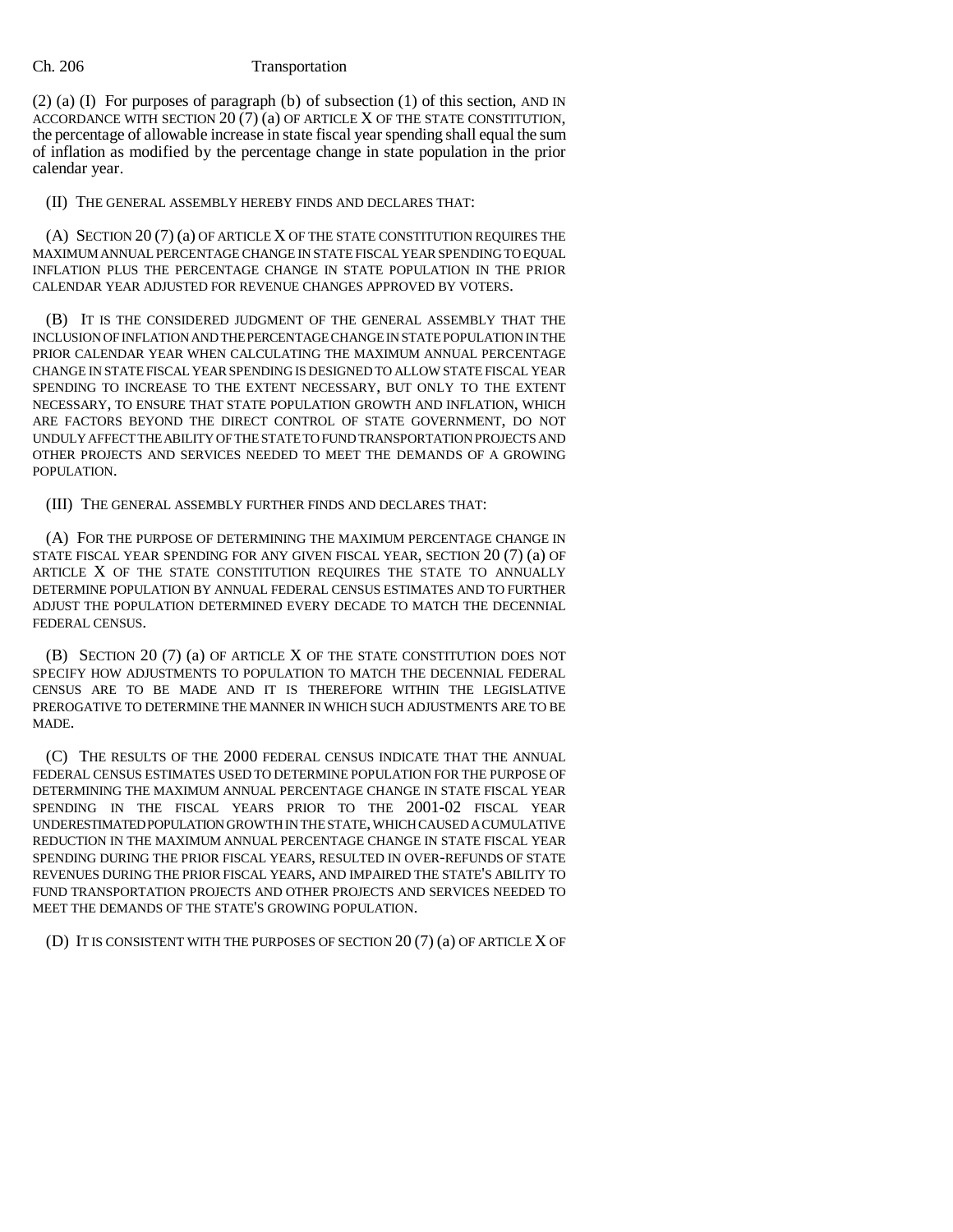(2) (a) (I) For purposes of paragraph (b) of subsection (1) of this section, AND IN ACCORDANCE WITH SECTION 20 (7) (a) OF ARTICLE X OF THE STATE CONSTITUTION, the percentage of allowable increase in state fiscal year spending shall equal the sum of inflation as modified by the percentage change in state population in the prior calendar year.

(II) THE GENERAL ASSEMBLY HEREBY FINDS AND DECLARES THAT:

(A) SECTION 20 (7) (a) OF ARTICLE X OF THE STATE CONSTITUTION REQUIRES THE MAXIMUM ANNUAL PERCENTAGE CHANGE IN STATE FISCAL YEAR SPENDING TO EQUAL INFLATION PLUS THE PERCENTAGE CHANGE IN STATE POPULATION IN THE PRIOR CALENDAR YEAR ADJUSTED FOR REVENUE CHANGES APPROVED BY VOTERS.

(B) IT IS THE CONSIDERED JUDGMENT OF THE GENERAL ASSEMBLY THAT THE INCLUSION OF INFLATION AND THE PERCENTAGE CHANGE IN STATE POPULATION IN THE PRIOR CALENDAR YEAR WHEN CALCULATING THE MAXIMUM ANNUAL PERCENTAGE CHANGE IN STATE FISCAL YEAR SPENDING IS DESIGNED TO ALLOW STATE FISCAL YEAR SPENDING TO INCREASE TO THE EXTENT NECESSARY, BUT ONLY TO THE EXTENT NECESSARY, TO ENSURE THAT STATE POPULATION GROWTH AND INFLATION, WHICH ARE FACTORS BEYOND THE DIRECT CONTROL OF STATE GOVERNMENT, DO NOT UNDULY AFFECT THE ABILITY OF THE STATE TO FUND TRANSPORTATION PROJECTS AND OTHER PROJECTS AND SERVICES NEEDED TO MEET THE DEMANDS OF A GROWING POPULATION.

(III) THE GENERAL ASSEMBLY FURTHER FINDS AND DECLARES THAT:

(A) FOR THE PURPOSE OF DETERMINING THE MAXIMUM PERCENTAGE CHANGE IN STATE FISCAL YEAR SPENDING FOR ANY GIVEN FISCAL YEAR, SECTION 20 (7) (a) OF ARTICLE X OF THE STATE CONSTITUTION REQUIRES THE STATE TO ANNUALLY DETERMINE POPULATION BY ANNUAL FEDERAL CENSUS ESTIMATES AND TO FURTHER ADJUST THE POPULATION DETERMINED EVERY DECADE TO MATCH THE DECENNIAL FEDERAL CENSUS.

(B) SECTION 20 (7) (a) OF ARTICLE X OF THE STATE CONSTITUTION DOES NOT SPECIFY HOW ADJUSTMENTS TO POPULATION TO MATCH THE DECENNIAL FEDERAL CENSUS ARE TO BE MADE AND IT IS THEREFORE WITHIN THE LEGISLATIVE PREROGATIVE TO DETERMINE THE MANNER IN WHICH SUCH ADJUSTMENTS ARE TO BE MADE.

(C) THE RESULTS OF THE 2000 FEDERAL CENSUS INDICATE THAT THE ANNUAL FEDERAL CENSUS ESTIMATES USED TO DETERMINE POPULATION FOR THE PURPOSE OF DETERMINING THE MAXIMUM ANNUAL PERCENTAGE CHANGE IN STATE FISCAL YEAR SPENDING IN THE FISCAL YEARS PRIOR TO THE 2001-02 FISCAL YEAR UNDERESTIMATED POPULATION GROWTH IN THE STATE, WHICH CAUSED A CUMULATIVE REDUCTION IN THE MAXIMUM ANNUAL PERCENTAGE CHANGE IN STATE FISCAL YEAR SPENDING DURING THE PRIOR FISCAL YEARS, RESULTED IN OVER-REFUNDS OF STATE REVENUES DURING THE PRIOR FISCAL YEARS, AND IMPAIRED THE STATE'S ABILITY TO FUND TRANSPORTATION PROJECTS AND OTHER PROJECTS AND SERVICES NEEDED TO MEET THE DEMANDS OF THE STATE'S GROWING POPULATION.

(D) IT IS CONSISTENT WITH THE PURPOSES OF SECTION 20 (7) (a) OF ARTICLE X OF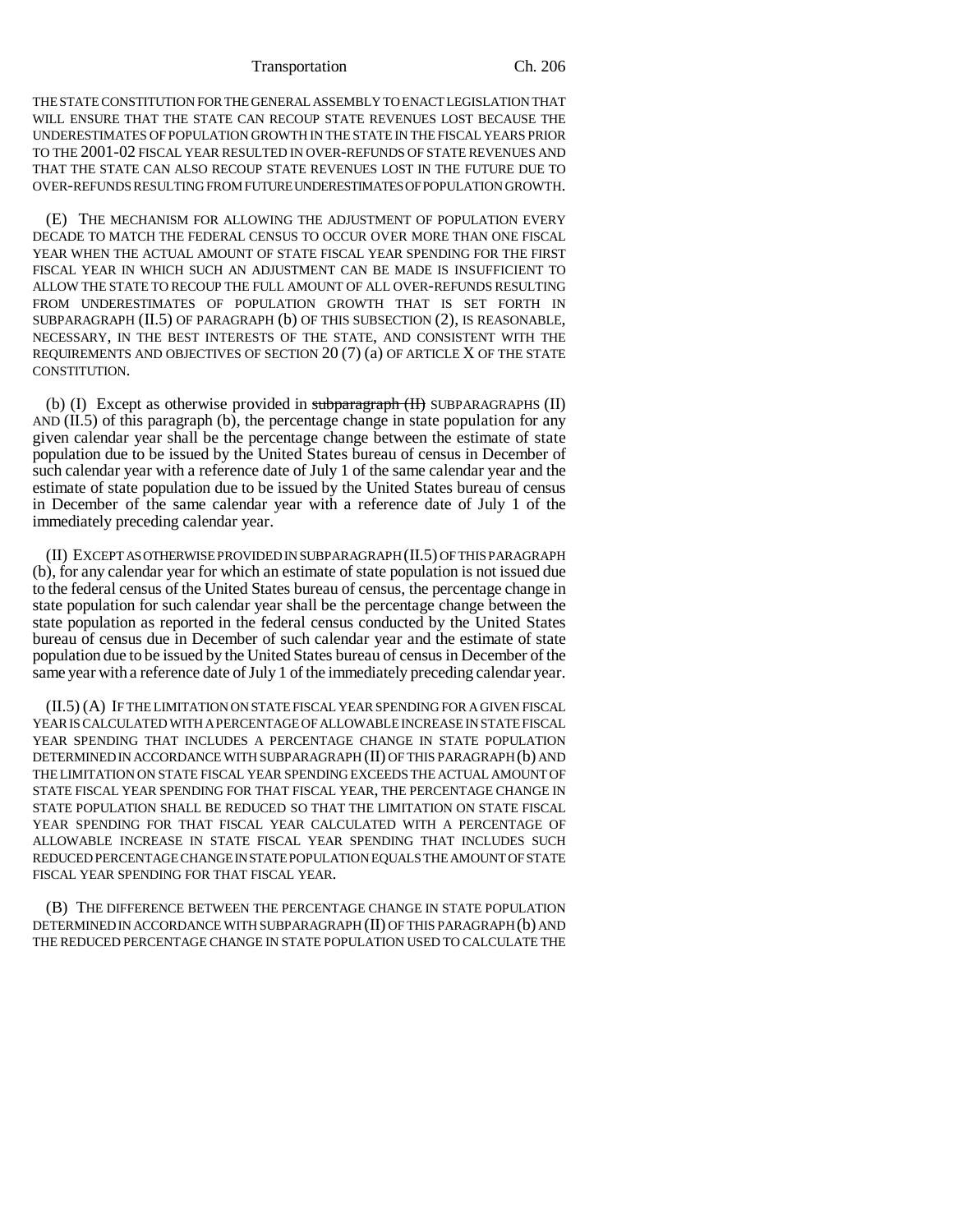### Transportation Ch. 206

THE STATE CONSTITUTION FOR THE GENERAL ASSEMBLY TO ENACT LEGISLATION THAT WILL ENSURE THAT THE STATE CAN RECOUP STATE REVENUES LOST BECAUSE THE UNDERESTIMATES OF POPULATION GROWTH IN THE STATE IN THE FISCAL YEARS PRIOR TO THE 2001-02 FISCAL YEAR RESULTED IN OVER-REFUNDS OF STATE REVENUES AND THAT THE STATE CAN ALSO RECOUP STATE REVENUES LOST IN THE FUTURE DUE TO OVER-REFUNDS RESULTING FROM FUTURE UNDERESTIMATES OF POPULATION GROWTH.

(E) THE MECHANISM FOR ALLOWING THE ADJUSTMENT OF POPULATION EVERY DECADE TO MATCH THE FEDERAL CENSUS TO OCCUR OVER MORE THAN ONE FISCAL YEAR WHEN THE ACTUAL AMOUNT OF STATE FISCAL YEAR SPENDING FOR THE FIRST FISCAL YEAR IN WHICH SUCH AN ADJUSTMENT CAN BE MADE IS INSUFFICIENT TO ALLOW THE STATE TO RECOUP THE FULL AMOUNT OF ALL OVER-REFUNDS RESULTING FROM UNDERESTIMATES OF POPULATION GROWTH THAT IS SET FORTH IN SUBPARAGRAPH (II.5) OF PARAGRAPH (b) OF THIS SUBSECTION (2), IS REASONABLE, NECESSARY, IN THE BEST INTERESTS OF THE STATE, AND CONSISTENT WITH THE REQUIREMENTS AND OBJECTIVES OF SECTION 20 (7) (a) OF ARTICLE X OF THE STATE CONSTITUTION.

(b) (I) Except as otherwise provided in subparagraph  $(H)$  SUBPARAGRAPHS (II) AND  $(II.5)$  of this paragraph  $(b)$ , the percentage change in state population for any given calendar year shall be the percentage change between the estimate of state population due to be issued by the United States bureau of census in December of such calendar year with a reference date of July 1 of the same calendar year and the estimate of state population due to be issued by the United States bureau of census in December of the same calendar year with a reference date of July 1 of the immediately preceding calendar year.

(II) EXCEPT AS OTHERWISE PROVIDED IN SUBPARAGRAPH (II.5) OF THIS PARAGRAPH (b), for any calendar year for which an estimate of state population is not issued due to the federal census of the United States bureau of census, the percentage change in state population for such calendar year shall be the percentage change between the state population as reported in the federal census conducted by the United States bureau of census due in December of such calendar year and the estimate of state population due to be issued by the United States bureau of census in December of the same year with a reference date of July 1 of the immediately preceding calendar year.

(II.5) (A) IF THE LIMITATION ON STATE FISCAL YEAR SPENDING FOR A GIVEN FISCAL YEAR IS CALCULATED WITH A PERCENTAGE OF ALLOWABLE INCREASE IN STATE FISCAL YEAR SPENDING THAT INCLUDES A PERCENTAGE CHANGE IN STATE POPULATION DETERMINED IN ACCORDANCE WITH SUBPARAGRAPH (II) OF THIS PARAGRAPH (b) AND THE LIMITATION ON STATE FISCAL YEAR SPENDING EXCEEDS THE ACTUAL AMOUNT OF STATE FISCAL YEAR SPENDING FOR THAT FISCAL YEAR, THE PERCENTAGE CHANGE IN STATE POPULATION SHALL BE REDUCED SO THAT THE LIMITATION ON STATE FISCAL YEAR SPENDING FOR THAT FISCAL YEAR CALCULATED WITH A PERCENTAGE OF ALLOWABLE INCREASE IN STATE FISCAL YEAR SPENDING THAT INCLUDES SUCH REDUCED PERCENTAGE CHANGE IN STATE POPULATION EQUALS THE AMOUNT OF STATE FISCAL YEAR SPENDING FOR THAT FISCAL YEAR.

(B) THE DIFFERENCE BETWEEN THE PERCENTAGE CHANGE IN STATE POPULATION DETERMINED IN ACCORDANCE WITH SUBPARAGRAPH (II) OF THIS PARAGRAPH (b) AND THE REDUCED PERCENTAGE CHANGE IN STATE POPULATION USED TO CALCULATE THE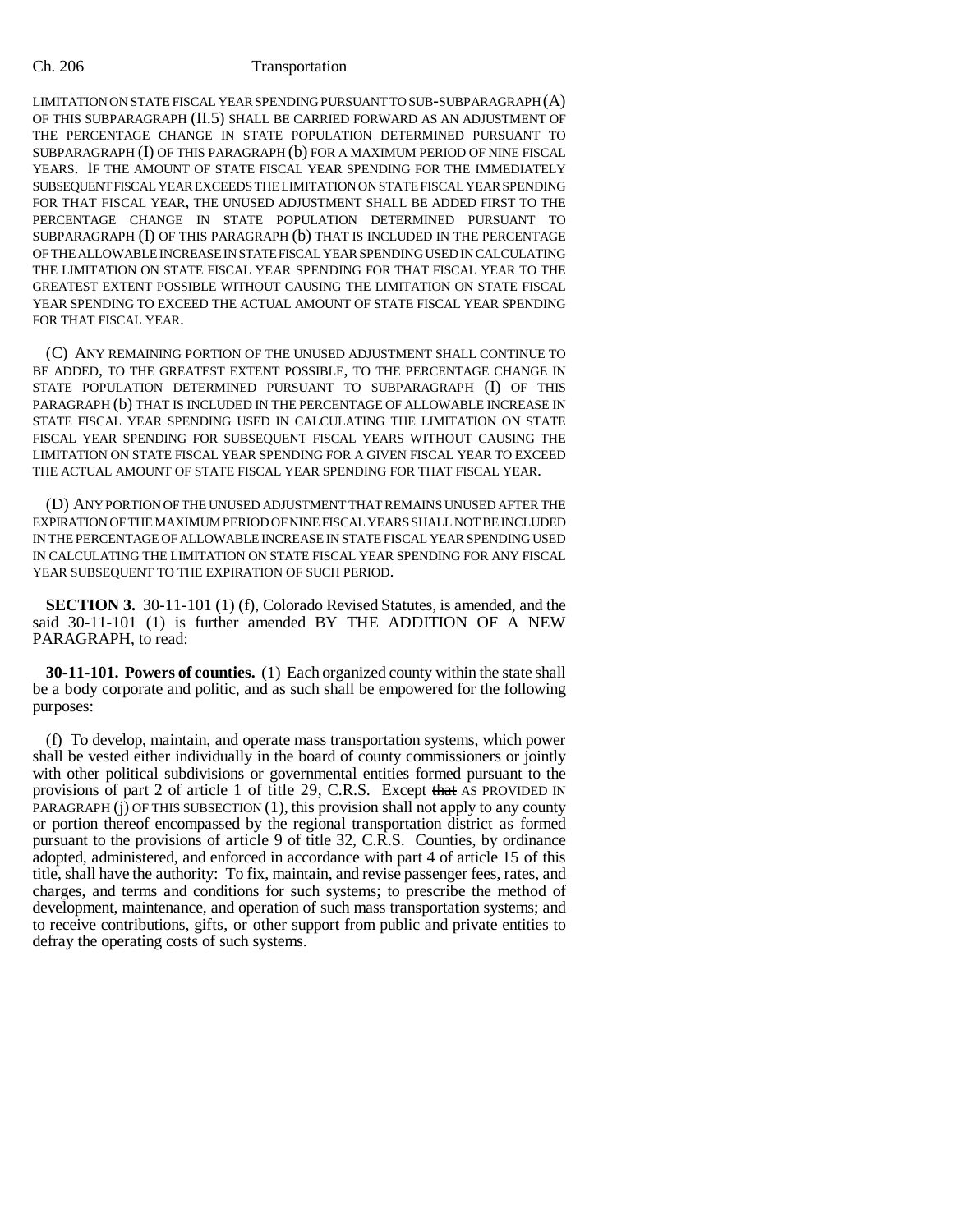LIMITATION ON STATE FISCAL YEAR SPENDING PURSUANT TO SUB-SUBPARAGRAPH (A) OF THIS SUBPARAGRAPH (II.5) SHALL BE CARRIED FORWARD AS AN ADJUSTMENT OF THE PERCENTAGE CHANGE IN STATE POPULATION DETERMINED PURSUANT TO SUBPARAGRAPH (I) OF THIS PARAGRAPH (b) FOR A MAXIMUM PERIOD OF NINE FISCAL YEARS. IF THE AMOUNT OF STATE FISCAL YEAR SPENDING FOR THE IMMEDIATELY SUBSEQUENT FISCAL YEAR EXCEEDS THE LIMITATION ON STATE FISCAL YEAR SPENDING FOR THAT FISCAL YEAR, THE UNUSED ADJUSTMENT SHALL BE ADDED FIRST TO THE PERCENTAGE CHANGE IN STATE POPULATION DETERMINED PURSUANT TO SUBPARAGRAPH (I) OF THIS PARAGRAPH (b) THAT IS INCLUDED IN THE PERCENTAGE OF THE ALLOWABLE INCREASE IN STATE FISCAL YEAR SPENDING USED IN CALCULATING THE LIMITATION ON STATE FISCAL YEAR SPENDING FOR THAT FISCAL YEAR TO THE GREATEST EXTENT POSSIBLE WITHOUT CAUSING THE LIMITATION ON STATE FISCAL YEAR SPENDING TO EXCEED THE ACTUAL AMOUNT OF STATE FISCAL YEAR SPENDING FOR THAT FISCAL YEAR.

(C) ANY REMAINING PORTION OF THE UNUSED ADJUSTMENT SHALL CONTINUE TO BE ADDED, TO THE GREATEST EXTENT POSSIBLE, TO THE PERCENTAGE CHANGE IN STATE POPULATION DETERMINED PURSUANT TO SUBPARAGRAPH (I) OF THIS PARAGRAPH (b) THAT IS INCLUDED IN THE PERCENTAGE OF ALLOWABLE INCREASE IN STATE FISCAL YEAR SPENDING USED IN CALCULATING THE LIMITATION ON STATE FISCAL YEAR SPENDING FOR SUBSEQUENT FISCAL YEARS WITHOUT CAUSING THE LIMITATION ON STATE FISCAL YEAR SPENDING FOR A GIVEN FISCAL YEAR TO EXCEED THE ACTUAL AMOUNT OF STATE FISCAL YEAR SPENDING FOR THAT FISCAL YEAR.

(D) ANY PORTION OF THE UNUSED ADJUSTMENT THAT REMAINS UNUSED AFTER THE EXPIRATION OF THE MAXIMUM PERIOD OF NINE FISCAL YEARS SHALL NOT BE INCLUDED IN THE PERCENTAGE OF ALLOWABLE INCREASE IN STATE FISCAL YEAR SPENDING USED IN CALCULATING THE LIMITATION ON STATE FISCAL YEAR SPENDING FOR ANY FISCAL YEAR SUBSEQUENT TO THE EXPIRATION OF SUCH PERIOD.

**SECTION 3.** 30-11-101 (1) (f), Colorado Revised Statutes, is amended, and the said 30-11-101 (1) is further amended BY THE ADDITION OF A NEW PARAGRAPH, to read:

**30-11-101. Powers of counties.** (1) Each organized county within the state shall be a body corporate and politic, and as such shall be empowered for the following purposes:

(f) To develop, maintain, and operate mass transportation systems, which power shall be vested either individually in the board of county commissioners or jointly with other political subdivisions or governmental entities formed pursuant to the provisions of part 2 of article 1 of title 29, C.R.S. Except that AS PROVIDED IN PARAGRAPH  $(i)$  OF THIS SUBSECTION  $(1)$ , this provision shall not apply to any county or portion thereof encompassed by the regional transportation district as formed pursuant to the provisions of article 9 of title 32, C.R.S. Counties, by ordinance adopted, administered, and enforced in accordance with part 4 of article 15 of this title, shall have the authority: To fix, maintain, and revise passenger fees, rates, and charges, and terms and conditions for such systems; to prescribe the method of development, maintenance, and operation of such mass transportation systems; and to receive contributions, gifts, or other support from public and private entities to defray the operating costs of such systems.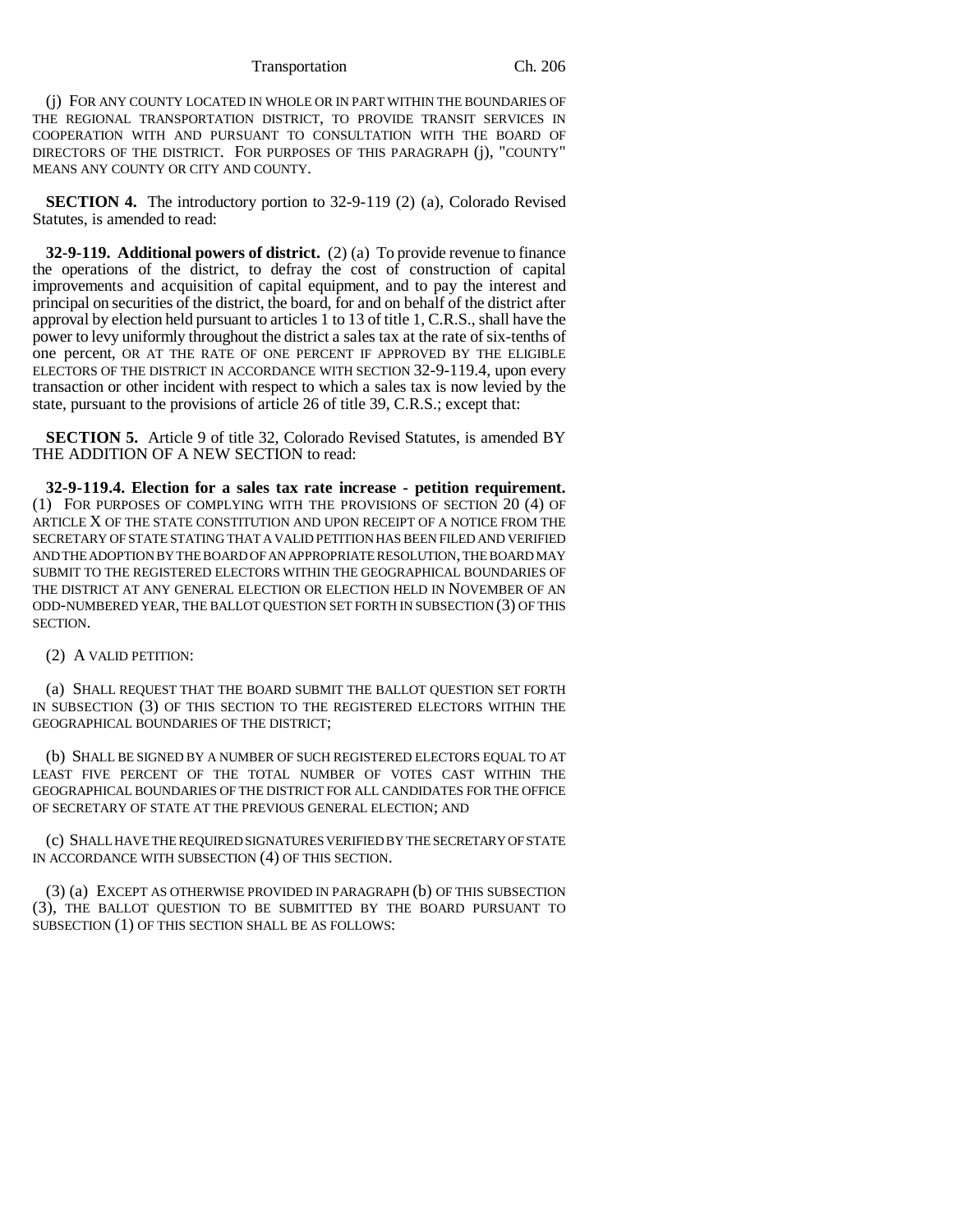### Transportation Ch. 206

(j) FOR ANY COUNTY LOCATED IN WHOLE OR IN PART WITHIN THE BOUNDARIES OF THE REGIONAL TRANSPORTATION DISTRICT, TO PROVIDE TRANSIT SERVICES IN COOPERATION WITH AND PURSUANT TO CONSULTATION WITH THE BOARD OF DIRECTORS OF THE DISTRICT. FOR PURPOSES OF THIS PARAGRAPH (j), "COUNTY" MEANS ANY COUNTY OR CITY AND COUNTY.

**SECTION 4.** The introductory portion to 32-9-119 (2) (a), Colorado Revised Statutes, is amended to read:

**32-9-119. Additional powers of district.** (2) (a) To provide revenue to finance the operations of the district, to defray the cost of construction of capital improvements and acquisition of capital equipment, and to pay the interest and principal on securities of the district, the board, for and on behalf of the district after approval by election held pursuant to articles 1 to 13 of title 1, C.R.S., shall have the power to levy uniformly throughout the district a sales tax at the rate of six-tenths of one percent, OR AT THE RATE OF ONE PERCENT IF APPROVED BY THE ELIGIBLE ELECTORS OF THE DISTRICT IN ACCORDANCE WITH SECTION 32-9-119.4, upon every transaction or other incident with respect to which a sales tax is now levied by the state, pursuant to the provisions of article 26 of title 39, C.R.S.; except that:

**SECTION 5.** Article 9 of title 32, Colorado Revised Statutes, is amended BY THE ADDITION OF A NEW SECTION to read:

**32-9-119.4. Election for a sales tax rate increase - petition requirement.** (1) FOR PURPOSES OF COMPLYING WITH THE PROVISIONS OF SECTION 20 (4) OF ARTICLE X OF THE STATE CONSTITUTION AND UPON RECEIPT OF A NOTICE FROM THE SECRETARY OF STATE STATING THAT A VALID PETITION HAS BEEN FILED AND VERIFIED AND THE ADOPTION BY THE BOARD OF AN APPROPRIATE RESOLUTION, THE BOARD MAY SUBMIT TO THE REGISTERED ELECTORS WITHIN THE GEOGRAPHICAL BOUNDARIES OF THE DISTRICT AT ANY GENERAL ELECTION OR ELECTION HELD IN NOVEMBER OF AN ODD-NUMBERED YEAR, THE BALLOT QUESTION SET FORTH IN SUBSECTION (3) OF THIS SECTION.

### (2) A VALID PETITION:

(a) SHALL REQUEST THAT THE BOARD SUBMIT THE BALLOT QUESTION SET FORTH IN SUBSECTION (3) OF THIS SECTION TO THE REGISTERED ELECTORS WITHIN THE GEOGRAPHICAL BOUNDARIES OF THE DISTRICT;

(b) SHALL BE SIGNED BY A NUMBER OF SUCH REGISTERED ELECTORS EQUAL TO AT LEAST FIVE PERCENT OF THE TOTAL NUMBER OF VOTES CAST WITHIN THE GEOGRAPHICAL BOUNDARIES OF THE DISTRICT FOR ALL CANDIDATES FOR THE OFFICE OF SECRETARY OF STATE AT THE PREVIOUS GENERAL ELECTION; AND

(c) SHALL HAVE THE REQUIRED SIGNATURES VERIFIED BY THE SECRETARY OF STATE IN ACCORDANCE WITH SUBSECTION (4) OF THIS SECTION.

(3) (a) EXCEPT AS OTHERWISE PROVIDED IN PARAGRAPH (b) OF THIS SUBSECTION (3), THE BALLOT QUESTION TO BE SUBMITTED BY THE BOARD PURSUANT TO SUBSECTION (1) OF THIS SECTION SHALL BE AS FOLLOWS: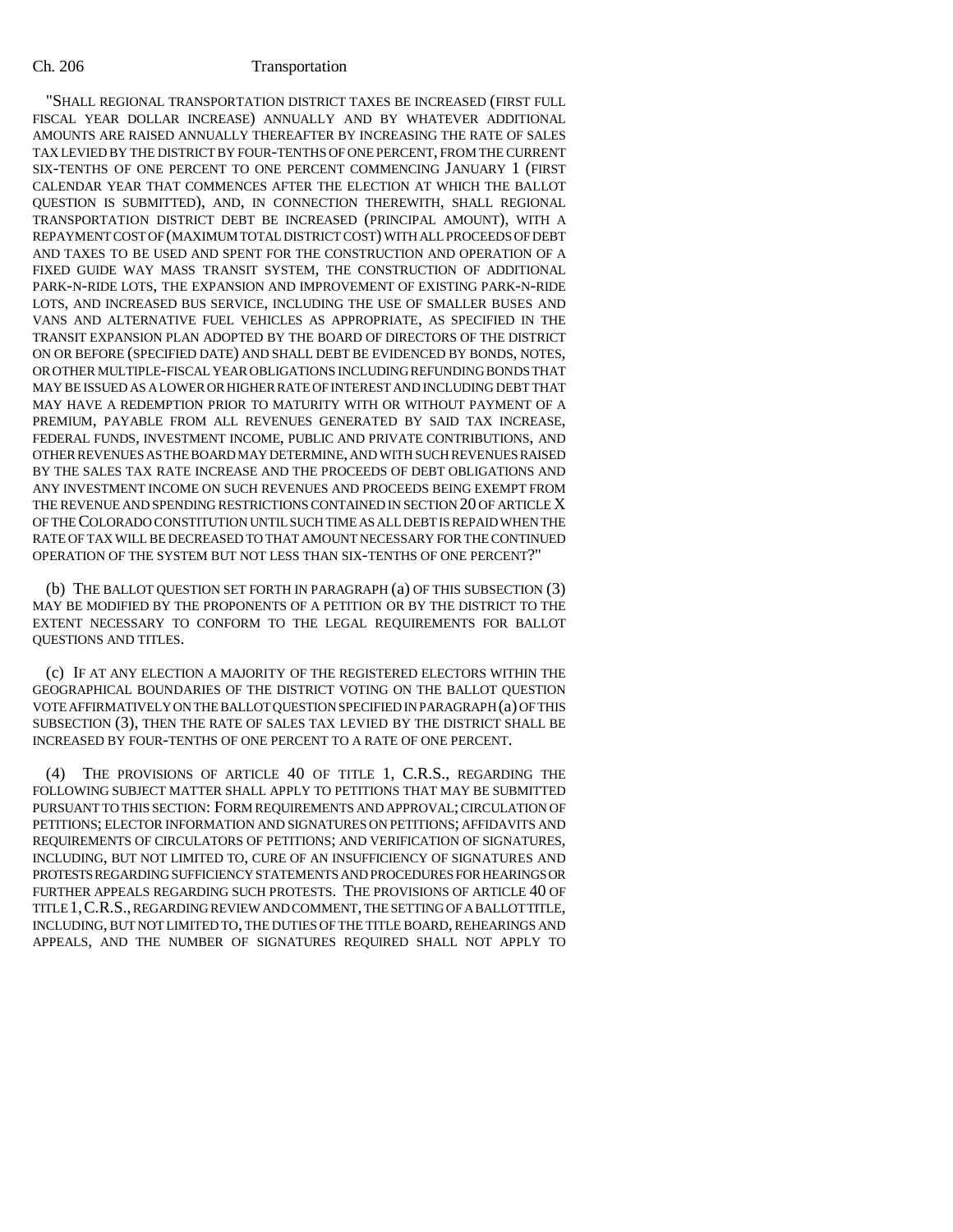"SHALL REGIONAL TRANSPORTATION DISTRICT TAXES BE INCREASED (FIRST FULL FISCAL YEAR DOLLAR INCREASE) ANNUALLY AND BY WHATEVER ADDITIONAL AMOUNTS ARE RAISED ANNUALLY THEREAFTER BY INCREASING THE RATE OF SALES TAX LEVIED BY THE DISTRICT BY FOUR-TENTHS OF ONE PERCENT, FROM THE CURRENT SIX-TENTHS OF ONE PERCENT TO ONE PERCENT COMMENCING JANUARY 1 (FIRST CALENDAR YEAR THAT COMMENCES AFTER THE ELECTION AT WHICH THE BALLOT QUESTION IS SUBMITTED), AND, IN CONNECTION THEREWITH, SHALL REGIONAL TRANSPORTATION DISTRICT DEBT BE INCREASED (PRINCIPAL AMOUNT), WITH A REPAYMENT COST OF (MAXIMUM TOTAL DISTRICT COST) WITH ALL PROCEEDS OF DEBT AND TAXES TO BE USED AND SPENT FOR THE CONSTRUCTION AND OPERATION OF A FIXED GUIDE WAY MASS TRANSIT SYSTEM, THE CONSTRUCTION OF ADDITIONAL PARK-N-RIDE LOTS, THE EXPANSION AND IMPROVEMENT OF EXISTING PARK-N-RIDE LOTS, AND INCREASED BUS SERVICE, INCLUDING THE USE OF SMALLER BUSES AND VANS AND ALTERNATIVE FUEL VEHICLES AS APPROPRIATE, AS SPECIFIED IN THE TRANSIT EXPANSION PLAN ADOPTED BY THE BOARD OF DIRECTORS OF THE DISTRICT ON OR BEFORE (SPECIFIED DATE) AND SHALL DEBT BE EVIDENCED BY BONDS, NOTES, OR OTHER MULTIPLE-FISCAL YEAR OBLIGATIONS INCLUDING REFUNDING BONDS THAT MAY BE ISSUED AS A LOWER OR HIGHER RATE OF INTEREST AND INCLUDING DEBT THAT MAY HAVE A REDEMPTION PRIOR TO MATURITY WITH OR WITHOUT PAYMENT OF A PREMIUM, PAYABLE FROM ALL REVENUES GENERATED BY SAID TAX INCREASE, FEDERAL FUNDS, INVESTMENT INCOME, PUBLIC AND PRIVATE CONTRIBUTIONS, AND OTHER REVENUES AS THE BOARD MAY DETERMINE, AND WITH SUCH REVENUES RAISED BY THE SALES TAX RATE INCREASE AND THE PROCEEDS OF DEBT OBLIGATIONS AND ANY INVESTMENT INCOME ON SUCH REVENUES AND PROCEEDS BEING EXEMPT FROM THE REVENUE AND SPENDING RESTRICTIONS CONTAINED IN SECTION 20 OF ARTICLE X OF THE COLORADO CONSTITUTION UNTIL SUCH TIME AS ALL DEBT IS REPAID WHEN THE RATE OF TAX WILL BE DECREASED TO THAT AMOUNT NECESSARY FOR THE CONTINUED OPERATION OF THE SYSTEM BUT NOT LESS THAN SIX-TENTHS OF ONE PERCENT?"

(b) THE BALLOT QUESTION SET FORTH IN PARAGRAPH (a) OF THIS SUBSECTION (3) MAY BE MODIFIED BY THE PROPONENTS OF A PETITION OR BY THE DISTRICT TO THE EXTENT NECESSARY TO CONFORM TO THE LEGAL REQUIREMENTS FOR BALLOT QUESTIONS AND TITLES.

(c) IF AT ANY ELECTION A MAJORITY OF THE REGISTERED ELECTORS WITHIN THE GEOGRAPHICAL BOUNDARIES OF THE DISTRICT VOTING ON THE BALLOT QUESTION VOTE AFFIRMATIVELY ON THE BALLOT QUESTION SPECIFIED IN PARAGRAPH (a) OF THIS SUBSECTION (3), THEN THE RATE OF SALES TAX LEVIED BY THE DISTRICT SHALL BE INCREASED BY FOUR-TENTHS OF ONE PERCENT TO A RATE OF ONE PERCENT.

(4) THE PROVISIONS OF ARTICLE 40 OF TITLE 1, C.R.S., REGARDING THE FOLLOWING SUBJECT MATTER SHALL APPLY TO PETITIONS THAT MAY BE SUBMITTED PURSUANT TO THIS SECTION: FORM REQUIREMENTS AND APPROVAL; CIRCULATION OF PETITIONS; ELECTOR INFORMATION AND SIGNATURES ON PETITIONS; AFFIDAVITS AND REQUIREMENTS OF CIRCULATORS OF PETITIONS; AND VERIFICATION OF SIGNATURES, INCLUDING, BUT NOT LIMITED TO, CURE OF AN INSUFFICIENCY OF SIGNATURES AND PROTESTS REGARDING SUFFICIENCY STATEMENTS AND PROCEDURES FOR HEARINGS OR FURTHER APPEALS REGARDING SUCH PROTESTS. THE PROVISIONS OF ARTICLE 40 OF TITLE 1,C.R.S., REGARDING REVIEW AND COMMENT, THE SETTING OF A BALLOT TITLE, INCLUDING, BUT NOT LIMITED TO, THE DUTIES OF THE TITLE BOARD, REHEARINGS AND APPEALS, AND THE NUMBER OF SIGNATURES REQUIRED SHALL NOT APPLY TO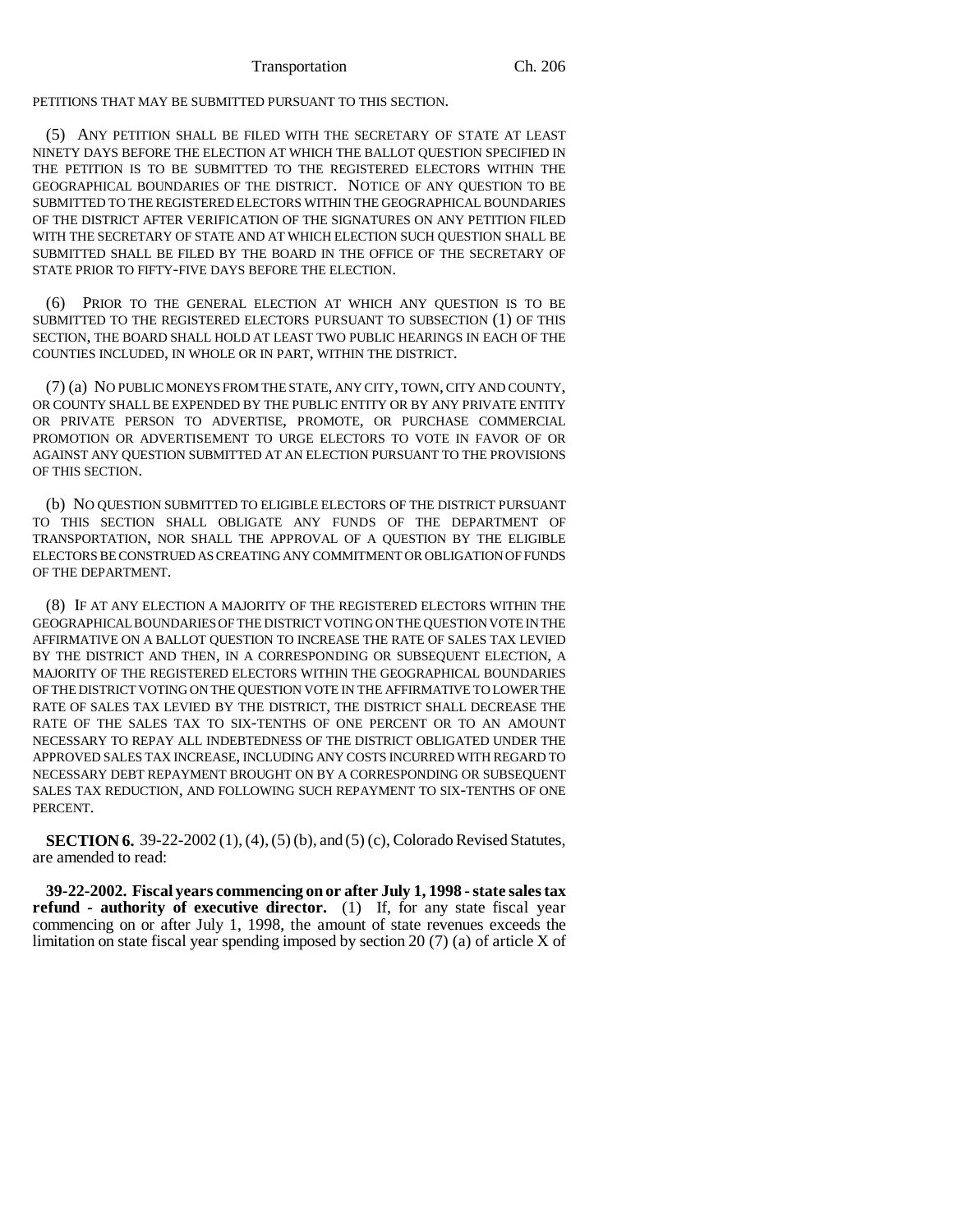PETITIONS THAT MAY BE SUBMITTED PURSUANT TO THIS SECTION.

(5) ANY PETITION SHALL BE FILED WITH THE SECRETARY OF STATE AT LEAST NINETY DAYS BEFORE THE ELECTION AT WHICH THE BALLOT QUESTION SPECIFIED IN THE PETITION IS TO BE SUBMITTED TO THE REGISTERED ELECTORS WITHIN THE GEOGRAPHICAL BOUNDARIES OF THE DISTRICT. NOTICE OF ANY QUESTION TO BE SUBMITTED TO THE REGISTERED ELECTORS WITHIN THE GEOGRAPHICAL BOUNDARIES OF THE DISTRICT AFTER VERIFICATION OF THE SIGNATURES ON ANY PETITION FILED WITH THE SECRETARY OF STATE AND AT WHICH ELECTION SUCH QUESTION SHALL BE SUBMITTED SHALL BE FILED BY THE BOARD IN THE OFFICE OF THE SECRETARY OF STATE PRIOR TO FIFTY-FIVE DAYS BEFORE THE ELECTION.

(6) PRIOR TO THE GENERAL ELECTION AT WHICH ANY QUESTION IS TO BE SUBMITTED TO THE REGISTERED ELECTORS PURSUANT TO SUBSECTION (1) OF THIS SECTION, THE BOARD SHALL HOLD AT LEAST TWO PUBLIC HEARINGS IN EACH OF THE COUNTIES INCLUDED, IN WHOLE OR IN PART, WITHIN THE DISTRICT.

(7) (a) NO PUBLIC MONEYS FROM THE STATE, ANY CITY, TOWN, CITY AND COUNTY, OR COUNTY SHALL BE EXPENDED BY THE PUBLIC ENTITY OR BY ANY PRIVATE ENTITY OR PRIVATE PERSON TO ADVERTISE, PROMOTE, OR PURCHASE COMMERCIAL PROMOTION OR ADVERTISEMENT TO URGE ELECTORS TO VOTE IN FAVOR OF OR AGAINST ANY QUESTION SUBMITTED AT AN ELECTION PURSUANT TO THE PROVISIONS OF THIS SECTION.

(b) NO QUESTION SUBMITTED TO ELIGIBLE ELECTORS OF THE DISTRICT PURSUANT TO THIS SECTION SHALL OBLIGATE ANY FUNDS OF THE DEPARTMENT OF TRANSPORTATION, NOR SHALL THE APPROVAL OF A QUESTION BY THE ELIGIBLE ELECTORS BE CONSTRUED AS CREATING ANY COMMITMENT OR OBLIGATION OF FUNDS OF THE DEPARTMENT.

(8) IF AT ANY ELECTION A MAJORITY OF THE REGISTERED ELECTORS WITHIN THE GEOGRAPHICAL BOUNDARIES OF THE DISTRICT VOTING ON THE QUESTION VOTE IN THE AFFIRMATIVE ON A BALLOT QUESTION TO INCREASE THE RATE OF SALES TAX LEVIED BY THE DISTRICT AND THEN, IN A CORRESPONDING OR SUBSEQUENT ELECTION, A MAJORITY OF THE REGISTERED ELECTORS WITHIN THE GEOGRAPHICAL BOUNDARIES OF THE DISTRICT VOTING ON THE QUESTION VOTE IN THE AFFIRMATIVE TO LOWER THE RATE OF SALES TAX LEVIED BY THE DISTRICT, THE DISTRICT SHALL DECREASE THE RATE OF THE SALES TAX TO SIX-TENTHS OF ONE PERCENT OR TO AN AMOUNT NECESSARY TO REPAY ALL INDEBTEDNESS OF THE DISTRICT OBLIGATED UNDER THE APPROVED SALES TAX INCREASE, INCLUDING ANY COSTS INCURRED WITH REGARD TO NECESSARY DEBT REPAYMENT BROUGHT ON BY A CORRESPONDING OR SUBSEQUENT SALES TAX REDUCTION, AND FOLLOWING SUCH REPAYMENT TO SIX-TENTHS OF ONE PERCENT.

**SECTION 6.** 39-22-2002 (1), (4), (5) (b), and (5) (c), Colorado Revised Statutes, are amended to read:

**39-22-2002. Fiscal years commencing on or after July 1, 1998 - state sales tax refund - authority of executive director.** (1) If, for any state fiscal year commencing on or after July 1, 1998, the amount of state revenues exceeds the limitation on state fiscal year spending imposed by section 20 (7) (a) of article X of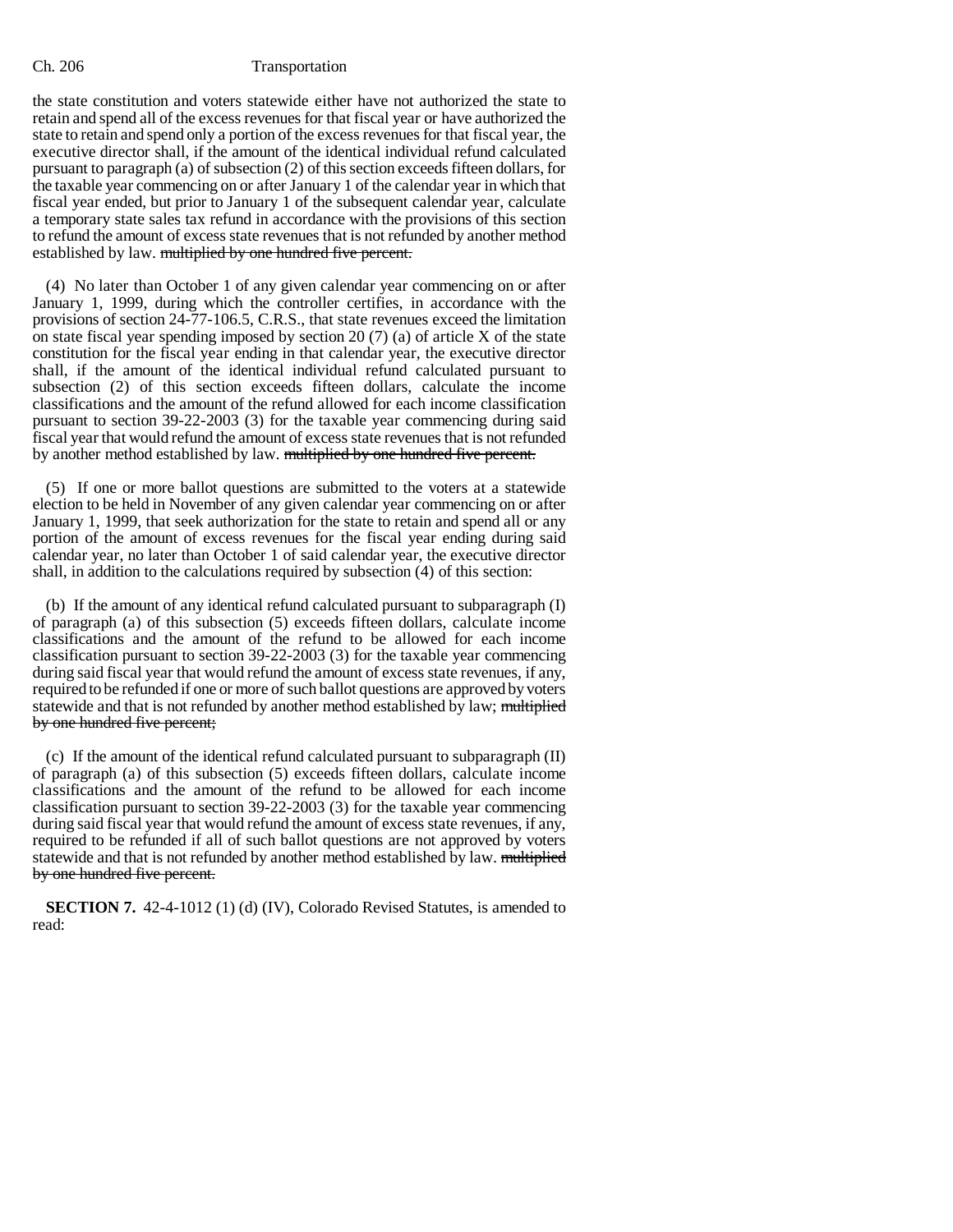the state constitution and voters statewide either have not authorized the state to retain and spend all of the excess revenues for that fiscal year or have authorized the state to retain and spend only a portion of the excess revenues for that fiscal year, the executive director shall, if the amount of the identical individual refund calculated pursuant to paragraph (a) of subsection (2) of this section exceeds fifteen dollars, for the taxable year commencing on or after January 1 of the calendar year in which that fiscal year ended, but prior to January 1 of the subsequent calendar year, calculate a temporary state sales tax refund in accordance with the provisions of this section to refund the amount of excess state revenues that is not refunded by another method established by law. multiplied by one hundred five percent.

(4) No later than October 1 of any given calendar year commencing on or after January 1, 1999, during which the controller certifies, in accordance with the provisions of section 24-77-106.5, C.R.S., that state revenues exceed the limitation on state fiscal year spending imposed by section 20 (7) (a) of article X of the state constitution for the fiscal year ending in that calendar year, the executive director shall, if the amount of the identical individual refund calculated pursuant to subsection (2) of this section exceeds fifteen dollars, calculate the income classifications and the amount of the refund allowed for each income classification pursuant to section 39-22-2003 (3) for the taxable year commencing during said fiscal year that would refund the amount of excess state revenues that is not refunded by another method established by law. multiplied by one hundred five percent.

(5) If one or more ballot questions are submitted to the voters at a statewide election to be held in November of any given calendar year commencing on or after January 1, 1999, that seek authorization for the state to retain and spend all or any portion of the amount of excess revenues for the fiscal year ending during said calendar year, no later than October 1 of said calendar year, the executive director shall, in addition to the calculations required by subsection (4) of this section:

(b) If the amount of any identical refund calculated pursuant to subparagraph (I) of paragraph (a) of this subsection (5) exceeds fifteen dollars, calculate income classifications and the amount of the refund to be allowed for each income classification pursuant to section 39-22-2003 (3) for the taxable year commencing during said fiscal year that would refund the amount of excess state revenues, if any, required to be refunded if one or more of such ballot questions are approved by voters statewide and that is not refunded by another method established by law; multiplied by one hundred five percent;

(c) If the amount of the identical refund calculated pursuant to subparagraph (II) of paragraph (a) of this subsection (5) exceeds fifteen dollars, calculate income classifications and the amount of the refund to be allowed for each income classification pursuant to section 39-22-2003 (3) for the taxable year commencing during said fiscal year that would refund the amount of excess state revenues, if any, required to be refunded if all of such ballot questions are not approved by voters statewide and that is not refunded by another method established by law. multiplied by one hundred five percent.

**SECTION 7.** 42-4-1012 (1) (d) (IV), Colorado Revised Statutes, is amended to read: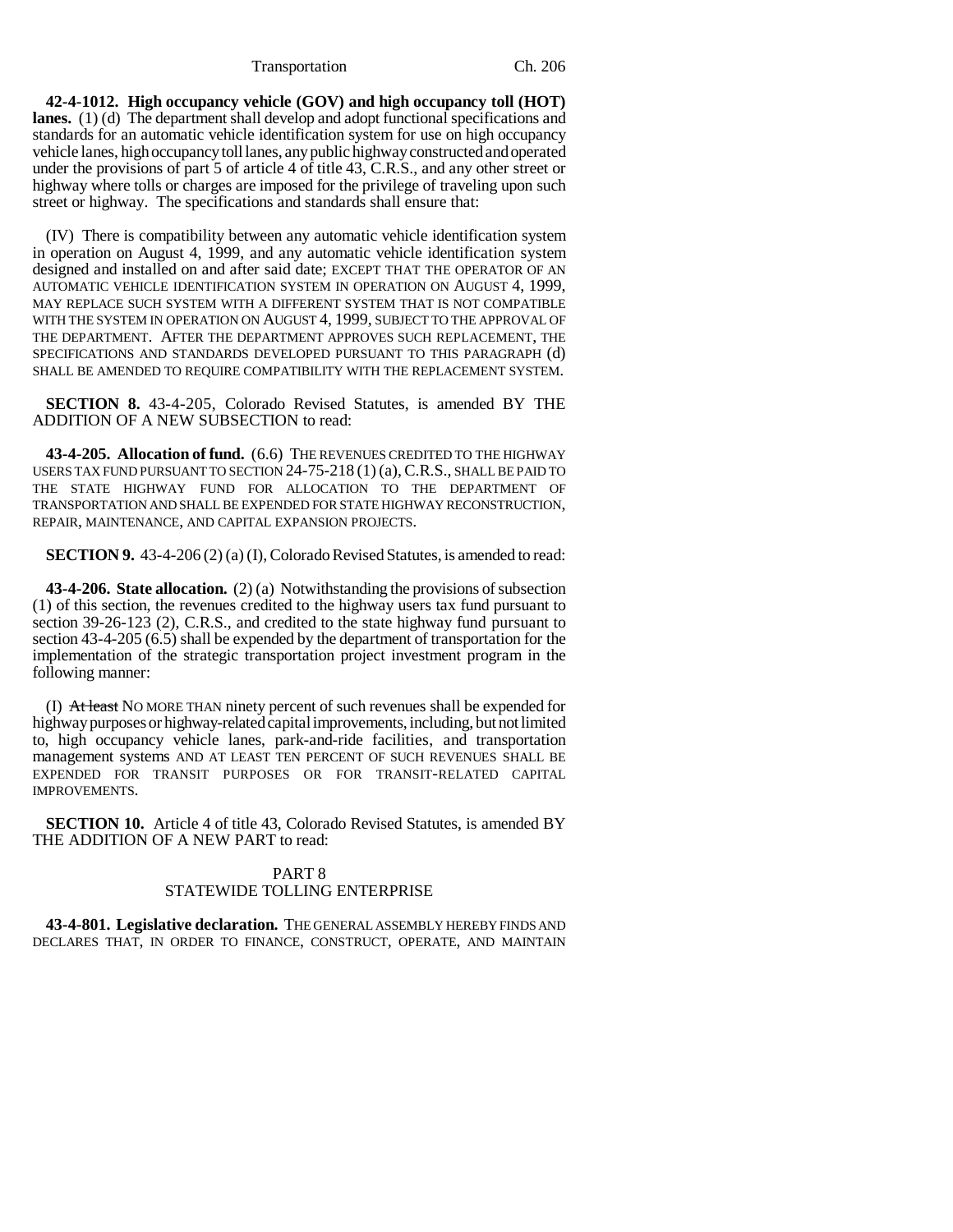Transportation Ch. 206

**42-4-1012. High occupancy vehicle (GOV) and high occupancy toll (HOT) lanes.** (1) (d) The department shall develop and adopt functional specifications and standards for an automatic vehicle identification system for use on high occupancy vehicle lanes, high occupancy toll lanes, any public highway constructed and operated under the provisions of part 5 of article 4 of title 43, C.R.S., and any other street or highway where tolls or charges are imposed for the privilege of traveling upon such street or highway. The specifications and standards shall ensure that:

(IV) There is compatibility between any automatic vehicle identification system in operation on August 4, 1999, and any automatic vehicle identification system designed and installed on and after said date; EXCEPT THAT THE OPERATOR OF AN AUTOMATIC VEHICLE IDENTIFICATION SYSTEM IN OPERATION ON AUGUST 4, 1999, MAY REPLACE SUCH SYSTEM WITH A DIFFERENT SYSTEM THAT IS NOT COMPATIBLE WITH THE SYSTEM IN OPERATION ON AUGUST 4, 1999, SUBJECT TO THE APPROVAL OF THE DEPARTMENT. AFTER THE DEPARTMENT APPROVES SUCH REPLACEMENT, THE SPECIFICATIONS AND STANDARDS DEVELOPED PURSUANT TO THIS PARAGRAPH (d) SHALL BE AMENDED TO REQUIRE COMPATIBILITY WITH THE REPLACEMENT SYSTEM.

**SECTION 8.** 43-4-205, Colorado Revised Statutes, is amended BY THE ADDITION OF A NEW SUBSECTION to read:

**43-4-205. Allocation of fund.** (6.6) THE REVENUES CREDITED TO THE HIGHWAY USERS TAX FUND PURSUANT TO SECTION 24-75-218 (1) (a),C.R.S., SHALL BE PAID TO THE STATE HIGHWAY FUND FOR ALLOCATION TO THE DEPARTMENT OF TRANSPORTATION AND SHALL BE EXPENDED FOR STATE HIGHWAY RECONSTRUCTION, REPAIR, MAINTENANCE, AND CAPITAL EXPANSION PROJECTS.

**SECTION 9.** 43-4-206 (2) (a) (I), Colorado Revised Statutes, is amended to read:

**43-4-206. State allocation.** (2) (a) Notwithstanding the provisions of subsection (1) of this section, the revenues credited to the highway users tax fund pursuant to section 39-26-123 (2), C.R.S., and credited to the state highway fund pursuant to section 43-4-205 (6.5) shall be expended by the department of transportation for the implementation of the strategic transportation project investment program in the following manner:

(I) At least NO MORE THAN ninety percent of such revenues shall be expended for highway purposes or highway-related capital improvements, including, but not limited to, high occupancy vehicle lanes, park-and-ride facilities, and transportation management systems AND AT LEAST TEN PERCENT OF SUCH REVENUES SHALL BE EXPENDED FOR TRANSIT PURPOSES OR FOR TRANSIT-RELATED CAPITAL IMPROVEMENTS.

**SECTION 10.** Article 4 of title 43, Colorado Revised Statutes, is amended BY THE ADDITION OF A NEW PART to read:

## PART 8 STATEWIDE TOLLING ENTERPRISE

**43-4-801. Legislative declaration.** THE GENERAL ASSEMBLY HEREBY FINDS AND DECLARES THAT, IN ORDER TO FINANCE, CONSTRUCT, OPERATE, AND MAINTAIN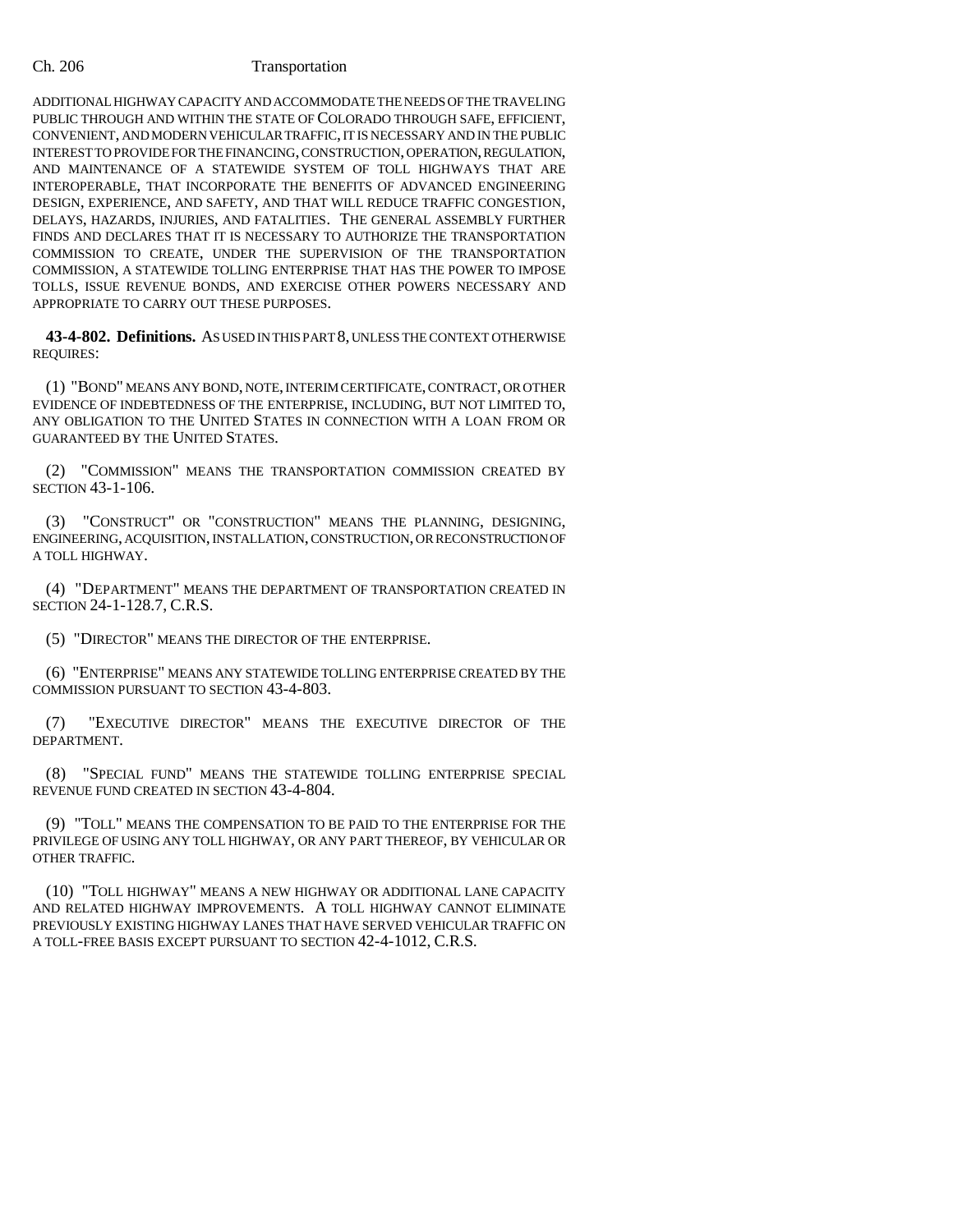ADDITIONAL HIGHWAY CAPACITY AND ACCOMMODATE THE NEEDS OF THE TRAVELING PUBLIC THROUGH AND WITHIN THE STATE OF COLORADO THROUGH SAFE, EFFICIENT, CONVENIENT, AND MODERN VEHICULAR TRAFFIC, IT IS NECESSARY AND IN THE PUBLIC INTEREST TO PROVIDE FOR THE FINANCING, CONSTRUCTION, OPERATION, REGULATION, AND MAINTENANCE OF A STATEWIDE SYSTEM OF TOLL HIGHWAYS THAT ARE INTEROPERABLE, THAT INCORPORATE THE BENEFITS OF ADVANCED ENGINEERING DESIGN, EXPERIENCE, AND SAFETY, AND THAT WILL REDUCE TRAFFIC CONGESTION, DELAYS, HAZARDS, INJURIES, AND FATALITIES. THE GENERAL ASSEMBLY FURTHER FINDS AND DECLARES THAT IT IS NECESSARY TO AUTHORIZE THE TRANSPORTATION COMMISSION TO CREATE, UNDER THE SUPERVISION OF THE TRANSPORTATION COMMISSION, A STATEWIDE TOLLING ENTERPRISE THAT HAS THE POWER TO IMPOSE TOLLS, ISSUE REVENUE BONDS, AND EXERCISE OTHER POWERS NECESSARY AND APPROPRIATE TO CARRY OUT THESE PURPOSES.

**43-4-802. Definitions.** AS USED IN THIS PART 8, UNLESS THE CONTEXT OTHERWISE REQUIRES:

(1) "BOND" MEANS ANY BOND, NOTE, INTERIM CERTIFICATE, CONTRACT, OR OTHER EVIDENCE OF INDEBTEDNESS OF THE ENTERPRISE, INCLUDING, BUT NOT LIMITED TO, ANY OBLIGATION TO THE UNITED STATES IN CONNECTION WITH A LOAN FROM OR GUARANTEED BY THE UNITED STATES.

(2) "COMMISSION" MEANS THE TRANSPORTATION COMMISSION CREATED BY SECTION 43-1-106.

(3) "CONSTRUCT" OR "CONSTRUCTION" MEANS THE PLANNING, DESIGNING, ENGINEERING, ACQUISITION, INSTALLATION, CONSTRUCTION, OR RECONSTRUCTION OF A TOLL HIGHWAY.

(4) "DEPARTMENT" MEANS THE DEPARTMENT OF TRANSPORTATION CREATED IN SECTION 24-1-128.7, C.R.S.

(5) "DIRECTOR" MEANS THE DIRECTOR OF THE ENTERPRISE.

(6) "ENTERPRISE" MEANS ANY STATEWIDE TOLLING ENTERPRISE CREATED BY THE COMMISSION PURSUANT TO SECTION 43-4-803.

(7) "EXECUTIVE DIRECTOR" MEANS THE EXECUTIVE DIRECTOR OF THE DEPARTMENT.

(8) "SPECIAL FUND" MEANS THE STATEWIDE TOLLING ENTERPRISE SPECIAL REVENUE FUND CREATED IN SECTION 43-4-804.

(9) "TOLL" MEANS THE COMPENSATION TO BE PAID TO THE ENTERPRISE FOR THE PRIVILEGE OF USING ANY TOLL HIGHWAY, OR ANY PART THEREOF, BY VEHICULAR OR OTHER TRAFFIC.

(10) "TOLL HIGHWAY" MEANS A NEW HIGHWAY OR ADDITIONAL LANE CAPACITY AND RELATED HIGHWAY IMPROVEMENTS. A TOLL HIGHWAY CANNOT ELIMINATE PREVIOUSLY EXISTING HIGHWAY LANES THAT HAVE SERVED VEHICULAR TRAFFIC ON A TOLL-FREE BASIS EXCEPT PURSUANT TO SECTION 42-4-1012, C.R.S.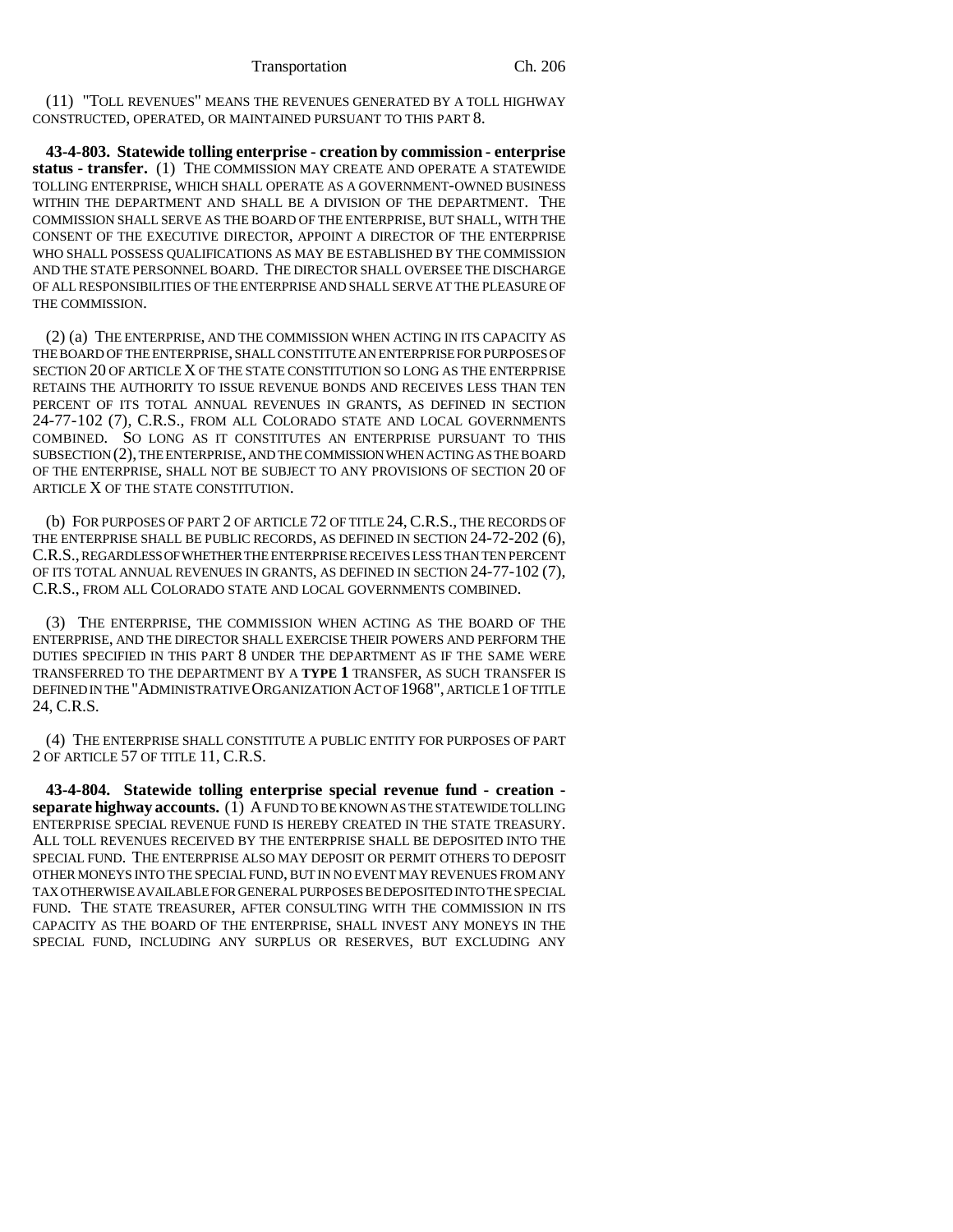(11) "TOLL REVENUES" MEANS THE REVENUES GENERATED BY A TOLL HIGHWAY CONSTRUCTED, OPERATED, OR MAINTAINED PURSUANT TO THIS PART 8.

**43-4-803. Statewide tolling enterprise - creation by commission - enterprise status - transfer.** (1) THE COMMISSION MAY CREATE AND OPERATE A STATEWIDE TOLLING ENTERPRISE, WHICH SHALL OPERATE AS A GOVERNMENT-OWNED BUSINESS WITHIN THE DEPARTMENT AND SHALL BE A DIVISION OF THE DEPARTMENT. THE COMMISSION SHALL SERVE AS THE BOARD OF THE ENTERPRISE, BUT SHALL, WITH THE CONSENT OF THE EXECUTIVE DIRECTOR, APPOINT A DIRECTOR OF THE ENTERPRISE WHO SHALL POSSESS QUALIFICATIONS AS MAY BE ESTABLISHED BY THE COMMISSION AND THE STATE PERSONNEL BOARD. THE DIRECTOR SHALL OVERSEE THE DISCHARGE OF ALL RESPONSIBILITIES OF THE ENTERPRISE AND SHALL SERVE AT THE PLEASURE OF THE COMMISSION.

(2) (a) THE ENTERPRISE, AND THE COMMISSION WHEN ACTING IN ITS CAPACITY AS THE BOARD OF THE ENTERPRISE, SHALL CONSTITUTE AN ENTERPRISE FOR PURPOSES OF SECTION 20 OF ARTICLE X OF THE STATE CONSTITUTION SO LONG AS THE ENTERPRISE RETAINS THE AUTHORITY TO ISSUE REVENUE BONDS AND RECEIVES LESS THAN TEN PERCENT OF ITS TOTAL ANNUAL REVENUES IN GRANTS, AS DEFINED IN SECTION 24-77-102 (7), C.R.S., FROM ALL COLORADO STATE AND LOCAL GOVERNMENTS COMBINED. SO LONG AS IT CONSTITUTES AN ENTERPRISE PURSUANT TO THIS SUBSECTION (2), THE ENTERPRISE, AND THE COMMISSION WHEN ACTING AS THE BOARD OF THE ENTERPRISE, SHALL NOT BE SUBJECT TO ANY PROVISIONS OF SECTION 20 OF ARTICLE X OF THE STATE CONSTITUTION.

(b) FOR PURPOSES OF PART 2 OF ARTICLE 72 OF TITLE 24,C.R.S., THE RECORDS OF THE ENTERPRISE SHALL BE PUBLIC RECORDS, AS DEFINED IN SECTION 24-72-202 (6), C.R.S., REGARDLESS OF WHETHER THE ENTERPRISE RECEIVES LESS THAN TEN PERCENT OF ITS TOTAL ANNUAL REVENUES IN GRANTS, AS DEFINED IN SECTION 24-77-102 (7), C.R.S., FROM ALL COLORADO STATE AND LOCAL GOVERNMENTS COMBINED.

(3) THE ENTERPRISE, THE COMMISSION WHEN ACTING AS THE BOARD OF THE ENTERPRISE, AND THE DIRECTOR SHALL EXERCISE THEIR POWERS AND PERFORM THE DUTIES SPECIFIED IN THIS PART 8 UNDER THE DEPARTMENT AS IF THE SAME WERE TRANSFERRED TO THE DEPARTMENT BY A **TYPE 1** TRANSFER, AS SUCH TRANSFER IS DEFINED IN THE "ADMINISTRATIVE ORGANIZATION ACT OF 1968", ARTICLE 1 OF TITLE 24, C.R.S.

(4) THE ENTERPRISE SHALL CONSTITUTE A PUBLIC ENTITY FOR PURPOSES OF PART 2 OF ARTICLE 57 OF TITLE 11, C.R.S.

**43-4-804. Statewide tolling enterprise special revenue fund - creation separate highway accounts.** (1) A FUND TO BE KNOWN AS THE STATEWIDE TOLLING ENTERPRISE SPECIAL REVENUE FUND IS HEREBY CREATED IN THE STATE TREASURY. ALL TOLL REVENUES RECEIVED BY THE ENTERPRISE SHALL BE DEPOSITED INTO THE SPECIAL FUND. THE ENTERPRISE ALSO MAY DEPOSIT OR PERMIT OTHERS TO DEPOSIT OTHER MONEYS INTO THE SPECIAL FUND, BUT IN NO EVENT MAY REVENUES FROM ANY TAX OTHERWISE AVAILABLE FOR GENERAL PURPOSES BE DEPOSITED INTO THE SPECIAL FUND. THE STATE TREASURER, AFTER CONSULTING WITH THE COMMISSION IN ITS CAPACITY AS THE BOARD OF THE ENTERPRISE, SHALL INVEST ANY MONEYS IN THE SPECIAL FUND, INCLUDING ANY SURPLUS OR RESERVES, BUT EXCLUDING ANY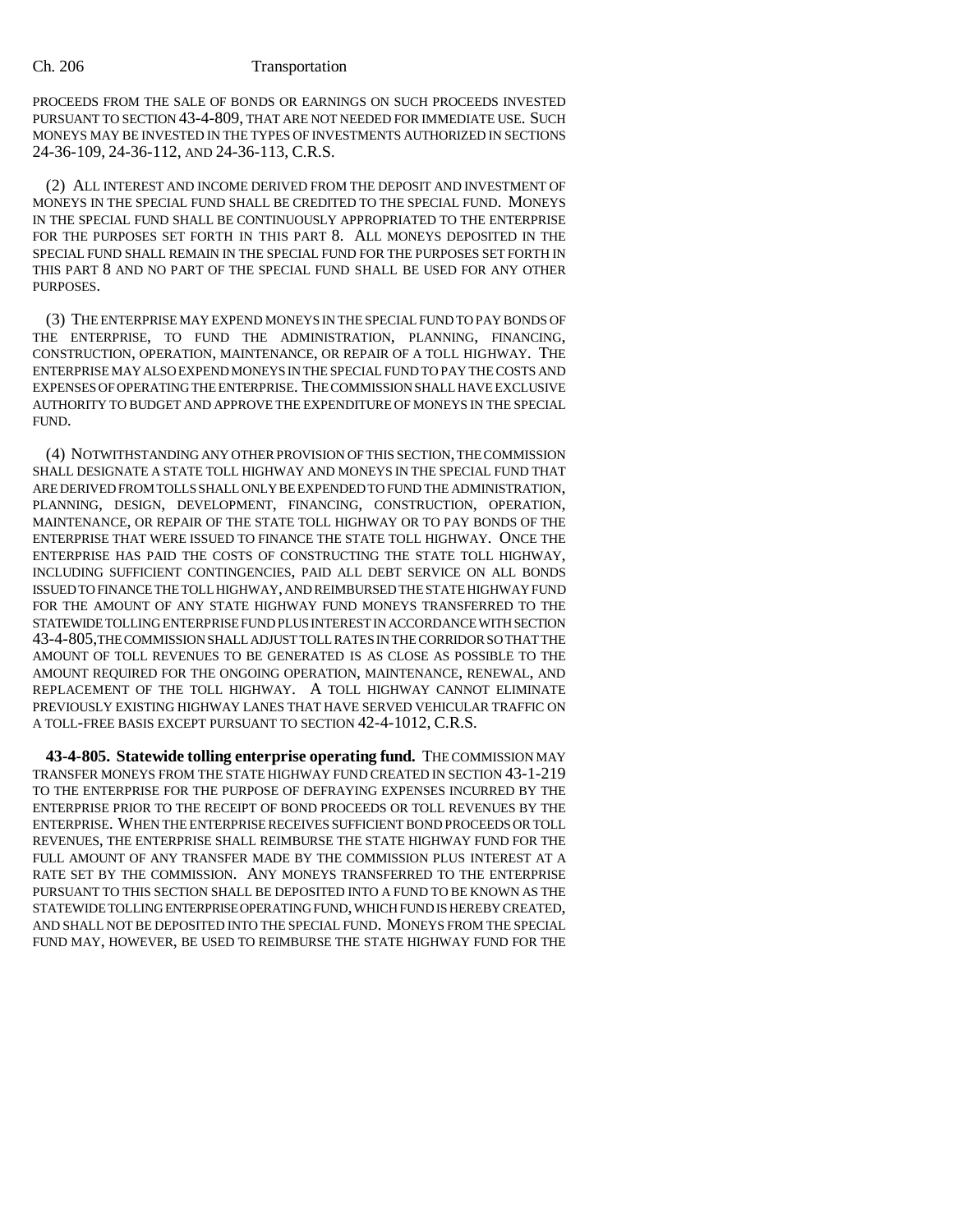PROCEEDS FROM THE SALE OF BONDS OR EARNINGS ON SUCH PROCEEDS INVESTED PURSUANT TO SECTION 43-4-809, THAT ARE NOT NEEDED FOR IMMEDIATE USE. SUCH MONEYS MAY BE INVESTED IN THE TYPES OF INVESTMENTS AUTHORIZED IN SECTIONS 24-36-109, 24-36-112, AND 24-36-113, C.R.S.

(2) ALL INTEREST AND INCOME DERIVED FROM THE DEPOSIT AND INVESTMENT OF MONEYS IN THE SPECIAL FUND SHALL BE CREDITED TO THE SPECIAL FUND. MONEYS IN THE SPECIAL FUND SHALL BE CONTINUOUSLY APPROPRIATED TO THE ENTERPRISE FOR THE PURPOSES SET FORTH IN THIS PART 8. ALL MONEYS DEPOSITED IN THE SPECIAL FUND SHALL REMAIN IN THE SPECIAL FUND FOR THE PURPOSES SET FORTH IN THIS PART 8 AND NO PART OF THE SPECIAL FUND SHALL BE USED FOR ANY OTHER PURPOSES.

(3) THE ENTERPRISE MAY EXPEND MONEYS IN THE SPECIAL FUND TO PAY BONDS OF THE ENTERPRISE, TO FUND THE ADMINISTRATION, PLANNING, FINANCING, CONSTRUCTION, OPERATION, MAINTENANCE, OR REPAIR OF A TOLL HIGHWAY. THE ENTERPRISE MAY ALSO EXPEND MONEYS IN THE SPECIAL FUND TO PAY THE COSTS AND EXPENSES OF OPERATING THE ENTERPRISE. THE COMMISSION SHALL HAVE EXCLUSIVE AUTHORITY TO BUDGET AND APPROVE THE EXPENDITURE OF MONEYS IN THE SPECIAL FUND.

(4) NOTWITHSTANDING ANY OTHER PROVISION OF THIS SECTION, THE COMMISSION SHALL DESIGNATE A STATE TOLL HIGHWAY AND MONEYS IN THE SPECIAL FUND THAT ARE DERIVED FROM TOLLS SHALL ONLY BE EXPENDED TO FUND THE ADMINISTRATION, PLANNING, DESIGN, DEVELOPMENT, FINANCING, CONSTRUCTION, OPERATION, MAINTENANCE, OR REPAIR OF THE STATE TOLL HIGHWAY OR TO PAY BONDS OF THE ENTERPRISE THAT WERE ISSUED TO FINANCE THE STATE TOLL HIGHWAY. ONCE THE ENTERPRISE HAS PAID THE COSTS OF CONSTRUCTING THE STATE TOLL HIGHWAY, INCLUDING SUFFICIENT CONTINGENCIES, PAID ALL DEBT SERVICE ON ALL BONDS ISSUED TO FINANCE THE TOLL HIGHWAY, AND REIMBURSED THE STATE HIGHWAY FUND FOR THE AMOUNT OF ANY STATE HIGHWAY FUND MONEYS TRANSFERRED TO THE STATEWIDE TOLLING ENTERPRISE FUND PLUS INTEREST IN ACCORDANCE WITH SECTION 43-4-805,THE COMMISSION SHALL ADJUST TOLL RATES IN THE CORRIDOR SO THAT THE AMOUNT OF TOLL REVENUES TO BE GENERATED IS AS CLOSE AS POSSIBLE TO THE AMOUNT REQUIRED FOR THE ONGOING OPERATION, MAINTENANCE, RENEWAL, AND REPLACEMENT OF THE TOLL HIGHWAY. A TOLL HIGHWAY CANNOT ELIMINATE PREVIOUSLY EXISTING HIGHWAY LANES THAT HAVE SERVED VEHICULAR TRAFFIC ON A TOLL-FREE BASIS EXCEPT PURSUANT TO SECTION 42-4-1012, C.R.S.

**43-4-805. Statewide tolling enterprise operating fund.** THE COMMISSION MAY TRANSFER MONEYS FROM THE STATE HIGHWAY FUND CREATED IN SECTION 43-1-219 TO THE ENTERPRISE FOR THE PURPOSE OF DEFRAYING EXPENSES INCURRED BY THE ENTERPRISE PRIOR TO THE RECEIPT OF BOND PROCEEDS OR TOLL REVENUES BY THE ENTERPRISE. WHEN THE ENTERPRISE RECEIVES SUFFICIENT BOND PROCEEDS OR TOLL REVENUES, THE ENTERPRISE SHALL REIMBURSE THE STATE HIGHWAY FUND FOR THE FULL AMOUNT OF ANY TRANSFER MADE BY THE COMMISSION PLUS INTEREST AT A RATE SET BY THE COMMISSION. ANY MONEYS TRANSFERRED TO THE ENTERPRISE PURSUANT TO THIS SECTION SHALL BE DEPOSITED INTO A FUND TO BE KNOWN AS THE STATEWIDE TOLLING ENTERPRISE OPERATING FUND, WHICH FUND IS HEREBY CREATED, AND SHALL NOT BE DEPOSITED INTO THE SPECIAL FUND. MONEYS FROM THE SPECIAL FUND MAY, HOWEVER, BE USED TO REIMBURSE THE STATE HIGHWAY FUND FOR THE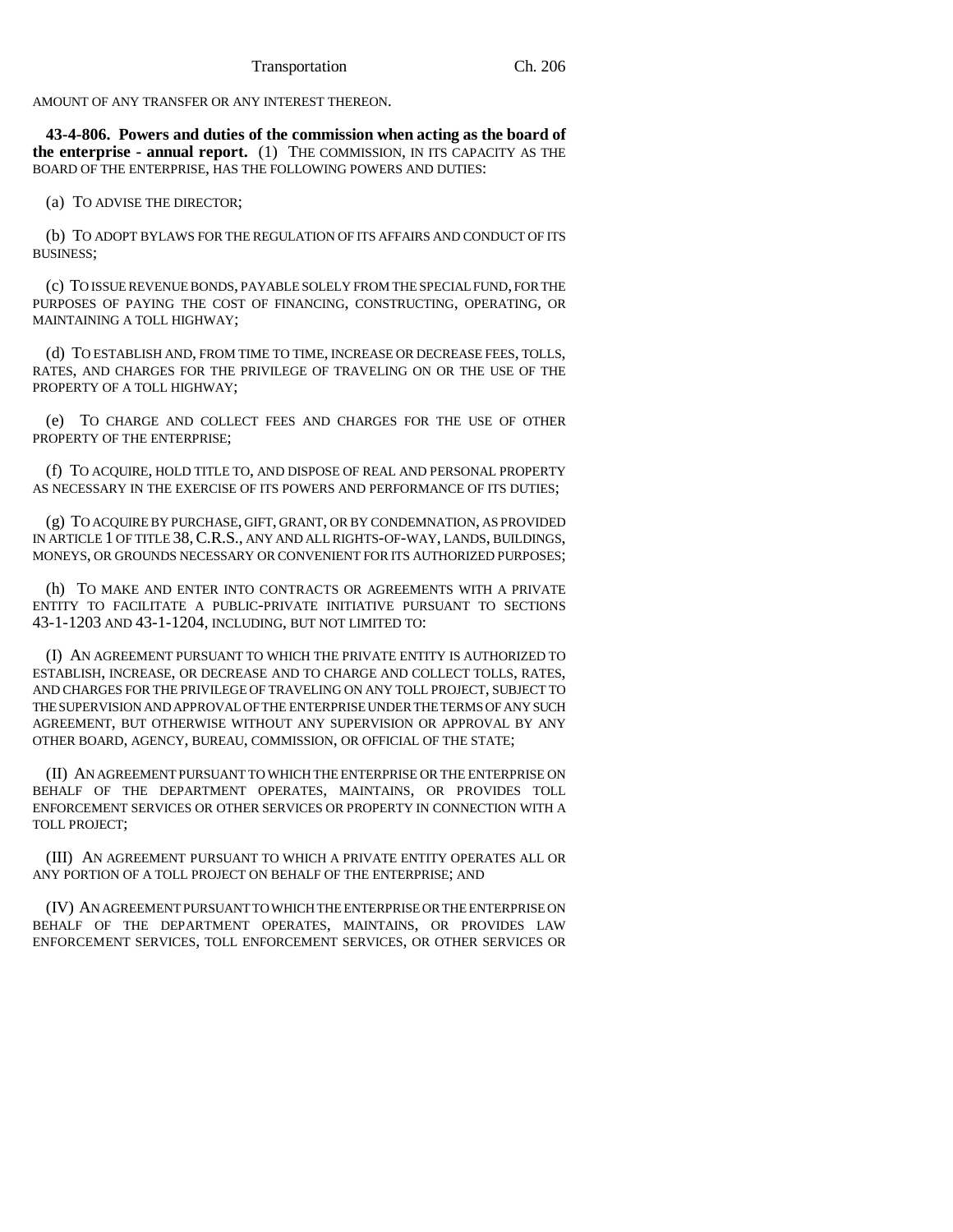AMOUNT OF ANY TRANSFER OR ANY INTEREST THEREON.

**43-4-806. Powers and duties of the commission when acting as the board of the enterprise - annual report.** (1) THE COMMISSION, IN ITS CAPACITY AS THE BOARD OF THE ENTERPRISE, HAS THE FOLLOWING POWERS AND DUTIES:

(a) TO ADVISE THE DIRECTOR;

(b) TO ADOPT BYLAWS FOR THE REGULATION OF ITS AFFAIRS AND CONDUCT OF ITS BUSINESS;

(c) TO ISSUE REVENUE BONDS, PAYABLE SOLELY FROM THE SPECIAL FUND, FOR THE PURPOSES OF PAYING THE COST OF FINANCING, CONSTRUCTING, OPERATING, OR MAINTAINING A TOLL HIGHWAY;

(d) TO ESTABLISH AND, FROM TIME TO TIME, INCREASE OR DECREASE FEES, TOLLS, RATES, AND CHARGES FOR THE PRIVILEGE OF TRAVELING ON OR THE USE OF THE PROPERTY OF A TOLL HIGHWAY:

(e) TO CHARGE AND COLLECT FEES AND CHARGES FOR THE USE OF OTHER PROPERTY OF THE ENTERPRISE;

(f) TO ACQUIRE, HOLD TITLE TO, AND DISPOSE OF REAL AND PERSONAL PROPERTY AS NECESSARY IN THE EXERCISE OF ITS POWERS AND PERFORMANCE OF ITS DUTIES;

(g) TO ACQUIRE BY PURCHASE, GIFT, GRANT, OR BY CONDEMNATION, AS PROVIDED IN ARTICLE 1 OF TITLE 38,C.R.S., ANY AND ALL RIGHTS-OF-WAY, LANDS, BUILDINGS, MONEYS, OR GROUNDS NECESSARY OR CONVENIENT FOR ITS AUTHORIZED PURPOSES;

(h) TO MAKE AND ENTER INTO CONTRACTS OR AGREEMENTS WITH A PRIVATE ENTITY TO FACILITATE A PUBLIC-PRIVATE INITIATIVE PURSUANT TO SECTIONS 43-1-1203 AND 43-1-1204, INCLUDING, BUT NOT LIMITED TO:

(I) AN AGREEMENT PURSUANT TO WHICH THE PRIVATE ENTITY IS AUTHORIZED TO ESTABLISH, INCREASE, OR DECREASE AND TO CHARGE AND COLLECT TOLLS, RATES, AND CHARGES FOR THE PRIVILEGE OF TRAVELING ON ANY TOLL PROJECT, SUBJECT TO THE SUPERVISION AND APPROVAL OF THE ENTERPRISE UNDER THE TERMS OF ANY SUCH AGREEMENT, BUT OTHERWISE WITHOUT ANY SUPERVISION OR APPROVAL BY ANY OTHER BOARD, AGENCY, BUREAU, COMMISSION, OR OFFICIAL OF THE STATE;

(II) AN AGREEMENT PURSUANT TO WHICH THE ENTERPRISE OR THE ENTERPRISE ON BEHALF OF THE DEPARTMENT OPERATES, MAINTAINS, OR PROVIDES TOLL ENFORCEMENT SERVICES OR OTHER SERVICES OR PROPERTY IN CONNECTION WITH A TOLL PROJECT;

(III) AN AGREEMENT PURSUANT TO WHICH A PRIVATE ENTITY OPERATES ALL OR ANY PORTION OF A TOLL PROJECT ON BEHALF OF THE ENTERPRISE; AND

(IV) AN AGREEMENT PURSUANT TO WHICH THE ENTERPRISE OR THE ENTERPRISE ON BEHALF OF THE DEPARTMENT OPERATES, MAINTAINS, OR PROVIDES LAW ENFORCEMENT SERVICES, TOLL ENFORCEMENT SERVICES, OR OTHER SERVICES OR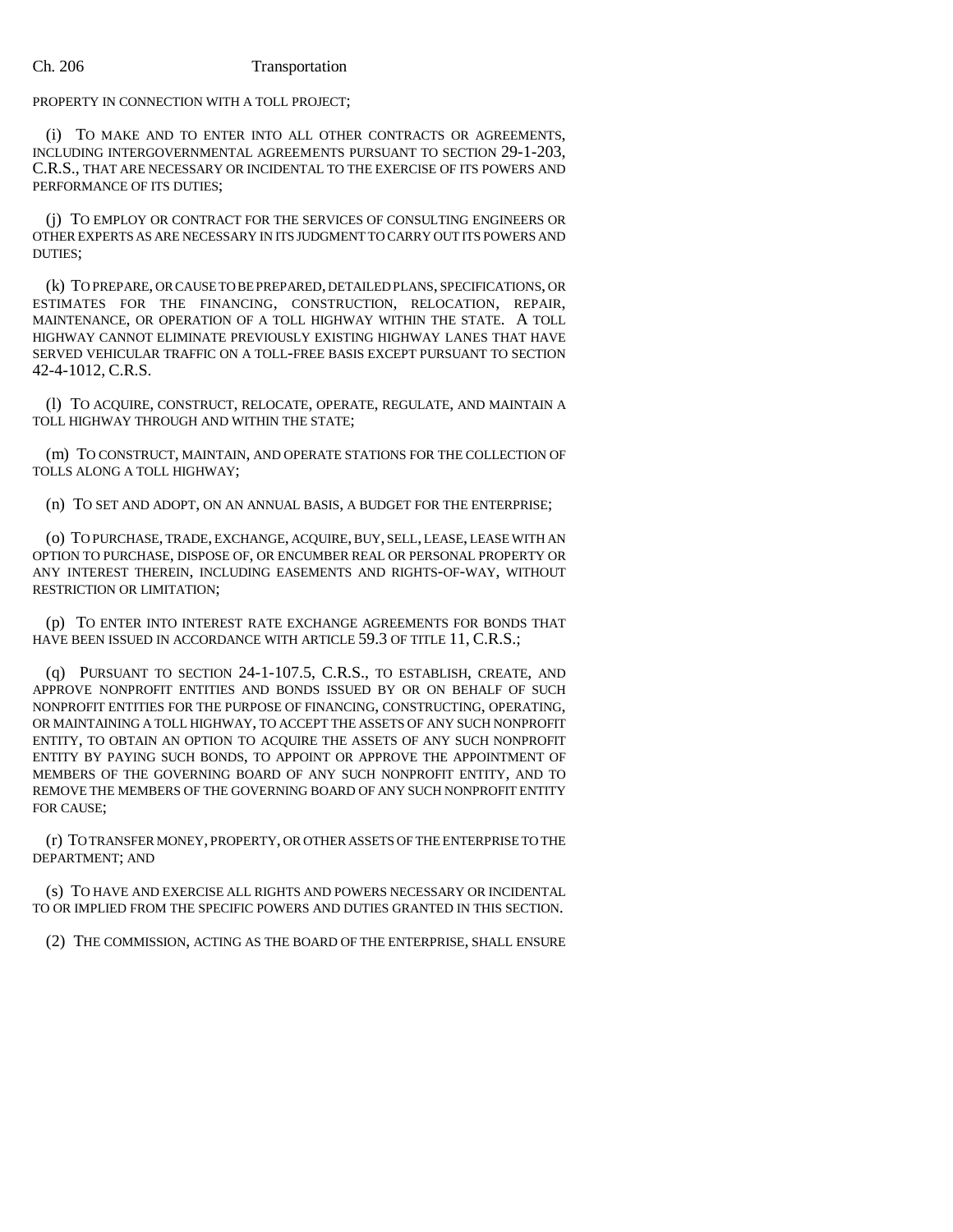PROPERTY IN CONNECTION WITH A TOLL PROJECT;

(i) TO MAKE AND TO ENTER INTO ALL OTHER CONTRACTS OR AGREEMENTS, INCLUDING INTERGOVERNMENTAL AGREEMENTS PURSUANT TO SECTION 29-1-203, C.R.S., THAT ARE NECESSARY OR INCIDENTAL TO THE EXERCISE OF ITS POWERS AND PERFORMANCE OF ITS DUTIES;

(j) TO EMPLOY OR CONTRACT FOR THE SERVICES OF CONSULTING ENGINEERS OR OTHER EXPERTS AS ARE NECESSARY IN ITS JUDGMENT TO CARRY OUT ITS POWERS AND DUTIES;

(k) TO PREPARE, OR CAUSE TO BE PREPARED, DETAILED PLANS, SPECIFICATIONS, OR ESTIMATES FOR THE FINANCING, CONSTRUCTION, RELOCATION, REPAIR, MAINTENANCE, OR OPERATION OF A TOLL HIGHWAY WITHIN THE STATE. A TOLL HIGHWAY CANNOT ELIMINATE PREVIOUSLY EXISTING HIGHWAY LANES THAT HAVE SERVED VEHICULAR TRAFFIC ON A TOLL-FREE BASIS EXCEPT PURSUANT TO SECTION 42-4-1012, C.R.S.

(l) TO ACQUIRE, CONSTRUCT, RELOCATE, OPERATE, REGULATE, AND MAINTAIN A TOLL HIGHWAY THROUGH AND WITHIN THE STATE;

(m) TO CONSTRUCT, MAINTAIN, AND OPERATE STATIONS FOR THE COLLECTION OF TOLLS ALONG A TOLL HIGHWAY;

(n) TO SET AND ADOPT, ON AN ANNUAL BASIS, A BUDGET FOR THE ENTERPRISE;

(o) TO PURCHASE, TRADE, EXCHANGE, ACQUIRE, BUY, SELL, LEASE, LEASE WITH AN OPTION TO PURCHASE, DISPOSE OF, OR ENCUMBER REAL OR PERSONAL PROPERTY OR ANY INTEREST THEREIN, INCLUDING EASEMENTS AND RIGHTS-OF-WAY, WITHOUT RESTRICTION OR LIMITATION;

(p) TO ENTER INTO INTEREST RATE EXCHANGE AGREEMENTS FOR BONDS THAT HAVE BEEN ISSUED IN ACCORDANCE WITH ARTICLE 59.3 OF TITLE 11, C.R.S.;

(q) PURSUANT TO SECTION 24-1-107.5, C.R.S., TO ESTABLISH, CREATE, AND APPROVE NONPROFIT ENTITIES AND BONDS ISSUED BY OR ON BEHALF OF SUCH NONPROFIT ENTITIES FOR THE PURPOSE OF FINANCING, CONSTRUCTING, OPERATING, OR MAINTAINING A TOLL HIGHWAY, TO ACCEPT THE ASSETS OF ANY SUCH NONPROFIT ENTITY, TO OBTAIN AN OPTION TO ACQUIRE THE ASSETS OF ANY SUCH NONPROFIT ENTITY BY PAYING SUCH BONDS, TO APPOINT OR APPROVE THE APPOINTMENT OF MEMBERS OF THE GOVERNING BOARD OF ANY SUCH NONPROFIT ENTITY, AND TO REMOVE THE MEMBERS OF THE GOVERNING BOARD OF ANY SUCH NONPROFIT ENTITY FOR CAUSE;

(r) TO TRANSFER MONEY, PROPERTY, OR OTHER ASSETS OF THE ENTERPRISE TO THE DEPARTMENT; AND

(s) TO HAVE AND EXERCISE ALL RIGHTS AND POWERS NECESSARY OR INCIDENTAL TO OR IMPLIED FROM THE SPECIFIC POWERS AND DUTIES GRANTED IN THIS SECTION.

(2) THE COMMISSION, ACTING AS THE BOARD OF THE ENTERPRISE, SHALL ENSURE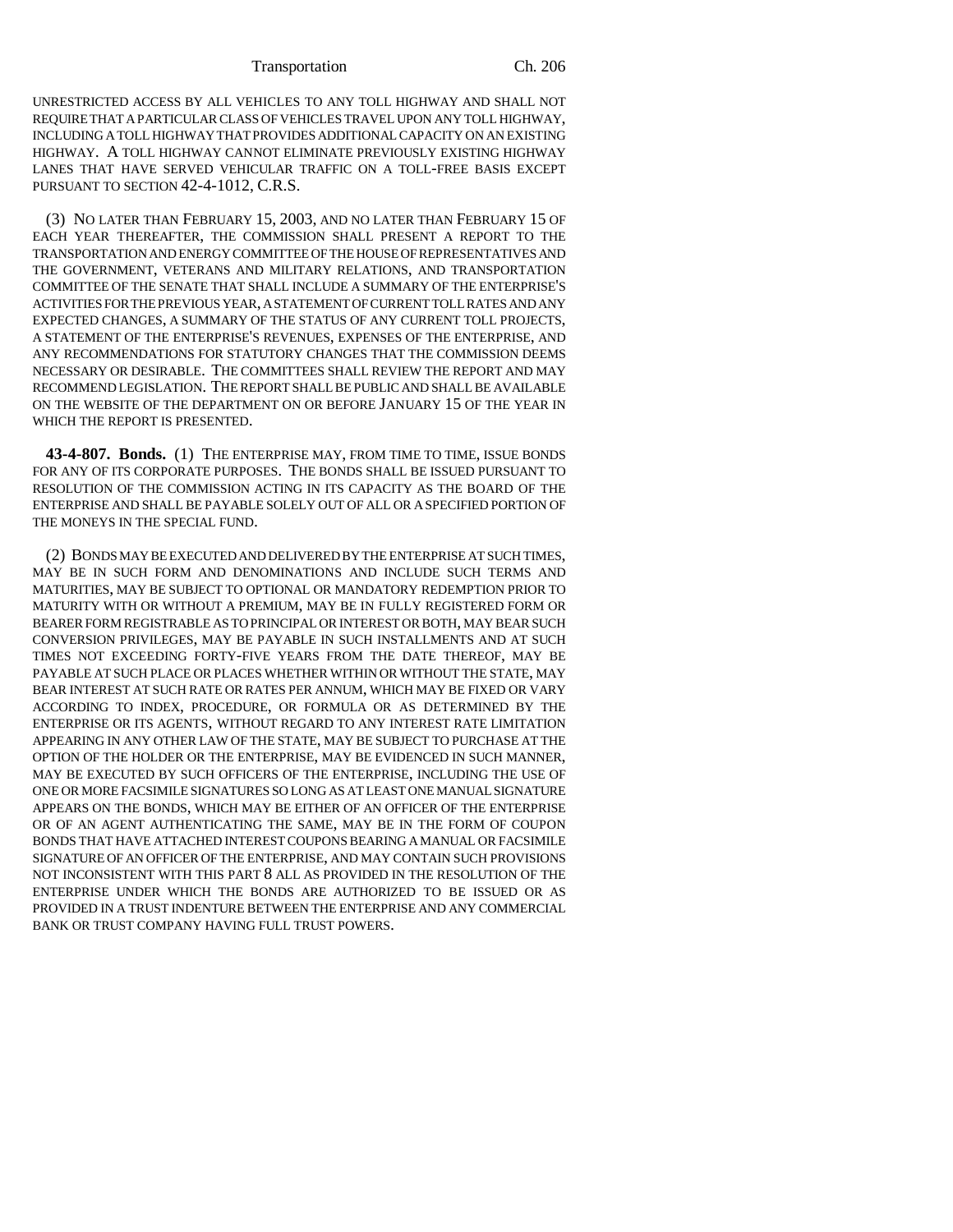UNRESTRICTED ACCESS BY ALL VEHICLES TO ANY TOLL HIGHWAY AND SHALL NOT REQUIRE THAT A PARTICULAR CLASS OF VEHICLES TRAVEL UPON ANY TOLL HIGHWAY, INCLUDING A TOLL HIGHWAY THAT PROVIDES ADDITIONAL CAPACITY ON AN EXISTING HIGHWAY. A TOLL HIGHWAY CANNOT ELIMINATE PREVIOUSLY EXISTING HIGHWAY LANES THAT HAVE SERVED VEHICULAR TRAFFIC ON A TOLL-FREE BASIS EXCEPT PURSUANT TO SECTION 42-4-1012, C.R.S.

(3) NO LATER THAN FEBRUARY 15, 2003, AND NO LATER THAN FEBRUARY 15 OF EACH YEAR THEREAFTER, THE COMMISSION SHALL PRESENT A REPORT TO THE TRANSPORTATION AND ENERGY COMMITTEE OF THE HOUSE OF REPRESENTATIVES AND THE GOVERNMENT, VETERANS AND MILITARY RELATIONS, AND TRANSPORTATION COMMITTEE OF THE SENATE THAT SHALL INCLUDE A SUMMARY OF THE ENTERPRISE'S ACTIVITIES FOR THE PREVIOUS YEAR, A STATEMENT OF CURRENT TOLL RATES AND ANY EXPECTED CHANGES, A SUMMARY OF THE STATUS OF ANY CURRENT TOLL PROJECTS, A STATEMENT OF THE ENTERPRISE'S REVENUES, EXPENSES OF THE ENTERPRISE, AND ANY RECOMMENDATIONS FOR STATUTORY CHANGES THAT THE COMMISSION DEEMS NECESSARY OR DESIRABLE. THE COMMITTEES SHALL REVIEW THE REPORT AND MAY RECOMMEND LEGISLATION. THE REPORT SHALL BE PUBLIC AND SHALL BE AVAILABLE ON THE WEBSITE OF THE DEPARTMENT ON OR BEFORE JANUARY 15 OF THE YEAR IN WHICH THE REPORT IS PRESENTED.

**43-4-807. Bonds.** (1) THE ENTERPRISE MAY, FROM TIME TO TIME, ISSUE BONDS FOR ANY OF ITS CORPORATE PURPOSES. THE BONDS SHALL BE ISSUED PURSUANT TO RESOLUTION OF THE COMMISSION ACTING IN ITS CAPACITY AS THE BOARD OF THE ENTERPRISE AND SHALL BE PAYABLE SOLELY OUT OF ALL OR A SPECIFIED PORTION OF THE MONEYS IN THE SPECIAL FUND.

(2) BONDS MAY BE EXECUTED AND DELIVERED BY THE ENTERPRISE AT SUCH TIMES, MAY BE IN SUCH FORM AND DENOMINATIONS AND INCLUDE SUCH TERMS AND MATURITIES, MAY BE SUBJECT TO OPTIONAL OR MANDATORY REDEMPTION PRIOR TO MATURITY WITH OR WITHOUT A PREMIUM, MAY BE IN FULLY REGISTERED FORM OR BEARER FORM REGISTRABLE AS TO PRINCIPAL OR INTEREST OR BOTH, MAY BEAR SUCH CONVERSION PRIVILEGES, MAY BE PAYABLE IN SUCH INSTALLMENTS AND AT SUCH TIMES NOT EXCEEDING FORTY-FIVE YEARS FROM THE DATE THEREOF, MAY BE PAYABLE AT SUCH PLACE OR PLACES WHETHER WITHIN OR WITHOUT THE STATE, MAY BEAR INTEREST AT SUCH RATE OR RATES PER ANNUM, WHICH MAY BE FIXED OR VARY ACCORDING TO INDEX, PROCEDURE, OR FORMULA OR AS DETERMINED BY THE ENTERPRISE OR ITS AGENTS, WITHOUT REGARD TO ANY INTEREST RATE LIMITATION APPEARING IN ANY OTHER LAW OF THE STATE, MAY BE SUBJECT TO PURCHASE AT THE OPTION OF THE HOLDER OR THE ENTERPRISE, MAY BE EVIDENCED IN SUCH MANNER, MAY BE EXECUTED BY SUCH OFFICERS OF THE ENTERPRISE, INCLUDING THE USE OF ONE OR MORE FACSIMILE SIGNATURES SO LONG AS AT LEAST ONE MANUAL SIGNATURE APPEARS ON THE BONDS, WHICH MAY BE EITHER OF AN OFFICER OF THE ENTERPRISE OR OF AN AGENT AUTHENTICATING THE SAME, MAY BE IN THE FORM OF COUPON BONDS THAT HAVE ATTACHED INTEREST COUPONS BEARING A MANUAL OR FACSIMILE SIGNATURE OF AN OFFICER OF THE ENTERPRISE, AND MAY CONTAIN SUCH PROVISIONS NOT INCONSISTENT WITH THIS PART 8 ALL AS PROVIDED IN THE RESOLUTION OF THE ENTERPRISE UNDER WHICH THE BONDS ARE AUTHORIZED TO BE ISSUED OR AS PROVIDED IN A TRUST INDENTURE BETWEEN THE ENTERPRISE AND ANY COMMERCIAL BANK OR TRUST COMPANY HAVING FULL TRUST POWERS.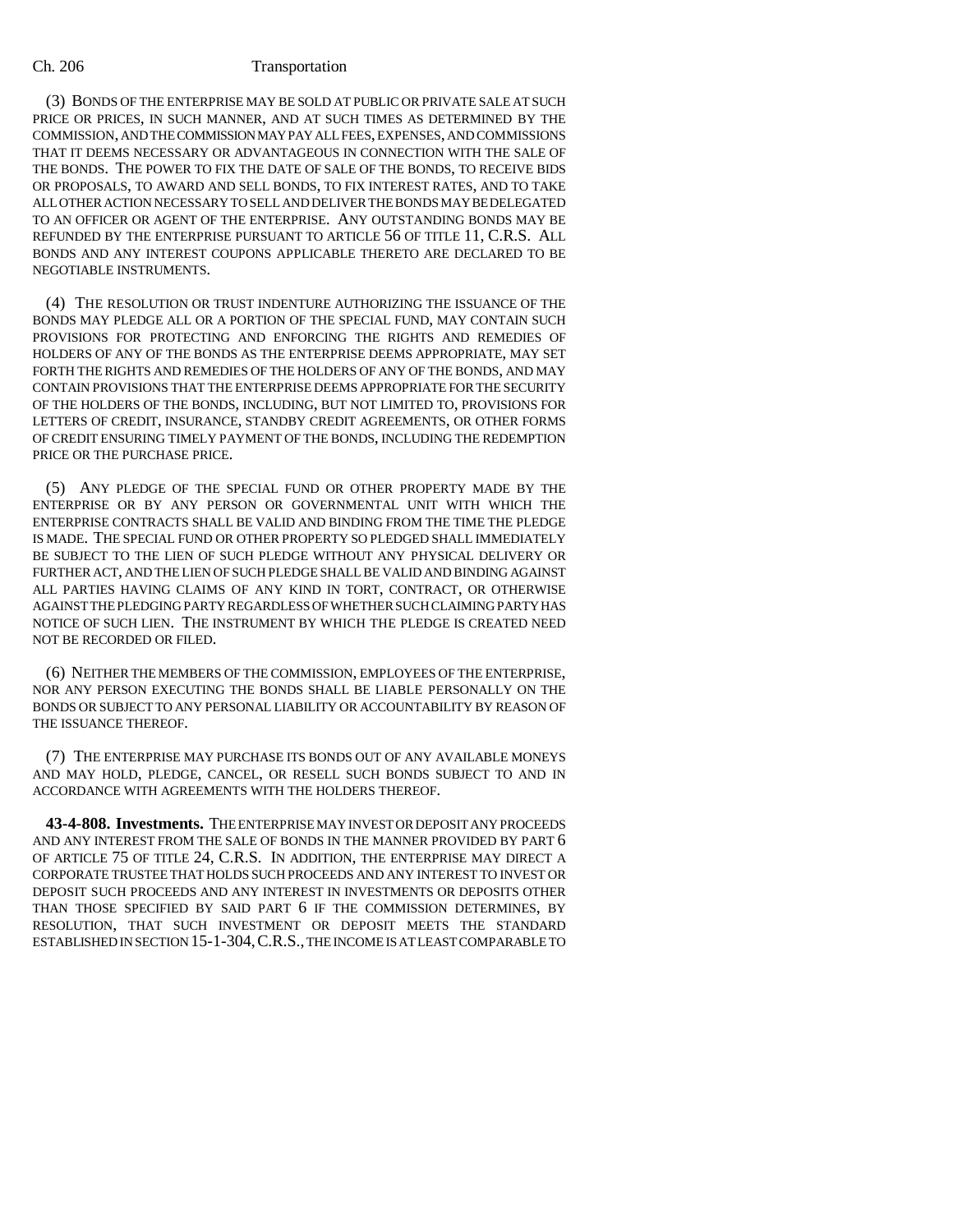(3) BONDS OF THE ENTERPRISE MAY BE SOLD AT PUBLIC OR PRIVATE SALE AT SUCH PRICE OR PRICES, IN SUCH MANNER, AND AT SUCH TIMES AS DETERMINED BY THE COMMISSION, AND THE COMMISSION MAY PAY ALL FEES, EXPENSES, AND COMMISSIONS THAT IT DEEMS NECESSARY OR ADVANTAGEOUS IN CONNECTION WITH THE SALE OF THE BONDS. THE POWER TO FIX THE DATE OF SALE OF THE BONDS, TO RECEIVE BIDS OR PROPOSALS, TO AWARD AND SELL BONDS, TO FIX INTEREST RATES, AND TO TAKE ALL OTHER ACTION NECESSARY TO SELL AND DELIVER THE BONDS MAY BE DELEGATED TO AN OFFICER OR AGENT OF THE ENTERPRISE. ANY OUTSTANDING BONDS MAY BE REFUNDED BY THE ENTERPRISE PURSUANT TO ARTICLE 56 OF TITLE 11, C.R.S. ALL BONDS AND ANY INTEREST COUPONS APPLICABLE THERETO ARE DECLARED TO BE NEGOTIABLE INSTRUMENTS.

(4) THE RESOLUTION OR TRUST INDENTURE AUTHORIZING THE ISSUANCE OF THE BONDS MAY PLEDGE ALL OR A PORTION OF THE SPECIAL FUND, MAY CONTAIN SUCH PROVISIONS FOR PROTECTING AND ENFORCING THE RIGHTS AND REMEDIES OF HOLDERS OF ANY OF THE BONDS AS THE ENTERPRISE DEEMS APPROPRIATE, MAY SET FORTH THE RIGHTS AND REMEDIES OF THE HOLDERS OF ANY OF THE BONDS, AND MAY CONTAIN PROVISIONS THAT THE ENTERPRISE DEEMS APPROPRIATE FOR THE SECURITY OF THE HOLDERS OF THE BONDS, INCLUDING, BUT NOT LIMITED TO, PROVISIONS FOR LETTERS OF CREDIT, INSURANCE, STANDBY CREDIT AGREEMENTS, OR OTHER FORMS OF CREDIT ENSURING TIMELY PAYMENT OF THE BONDS, INCLUDING THE REDEMPTION PRICE OR THE PURCHASE PRICE.

(5) ANY PLEDGE OF THE SPECIAL FUND OR OTHER PROPERTY MADE BY THE ENTERPRISE OR BY ANY PERSON OR GOVERNMENTAL UNIT WITH WHICH THE ENTERPRISE CONTRACTS SHALL BE VALID AND BINDING FROM THE TIME THE PLEDGE IS MADE. THE SPECIAL FUND OR OTHER PROPERTY SO PLEDGED SHALL IMMEDIATELY BE SUBJECT TO THE LIEN OF SUCH PLEDGE WITHOUT ANY PHYSICAL DELIVERY OR FURTHER ACT, AND THE LIEN OF SUCH PLEDGE SHALL BE VALID AND BINDING AGAINST ALL PARTIES HAVING CLAIMS OF ANY KIND IN TORT, CONTRACT, OR OTHERWISE AGAINST THE PLEDGING PARTY REGARDLESS OF WHETHER SUCH CLAIMING PARTY HAS NOTICE OF SUCH LIEN. THE INSTRUMENT BY WHICH THE PLEDGE IS CREATED NEED NOT BE RECORDED OR FILED.

(6) NEITHER THE MEMBERS OF THE COMMISSION, EMPLOYEES OF THE ENTERPRISE, NOR ANY PERSON EXECUTING THE BONDS SHALL BE LIABLE PERSONALLY ON THE BONDS OR SUBJECT TO ANY PERSONAL LIABILITY OR ACCOUNTABILITY BY REASON OF THE ISSUANCE THEREOF.

(7) THE ENTERPRISE MAY PURCHASE ITS BONDS OUT OF ANY AVAILABLE MONEYS AND MAY HOLD, PLEDGE, CANCEL, OR RESELL SUCH BONDS SUBJECT TO AND IN ACCORDANCE WITH AGREEMENTS WITH THE HOLDERS THEREOF.

**43-4-808. Investments.** THE ENTERPRISE MAY INVEST OR DEPOSIT ANY PROCEEDS AND ANY INTEREST FROM THE SALE OF BONDS IN THE MANNER PROVIDED BY PART 6 OF ARTICLE 75 OF TITLE 24, C.R.S. IN ADDITION, THE ENTERPRISE MAY DIRECT A CORPORATE TRUSTEE THAT HOLDS SUCH PROCEEDS AND ANY INTEREST TO INVEST OR DEPOSIT SUCH PROCEEDS AND ANY INTEREST IN INVESTMENTS OR DEPOSITS OTHER THAN THOSE SPECIFIED BY SAID PART 6 IF THE COMMISSION DETERMINES, BY RESOLUTION, THAT SUCH INVESTMENT OR DEPOSIT MEETS THE STANDARD ESTABLISHED IN SECTION 15-1-304,C.R.S., THE INCOME IS AT LEAST COMPARABLE TO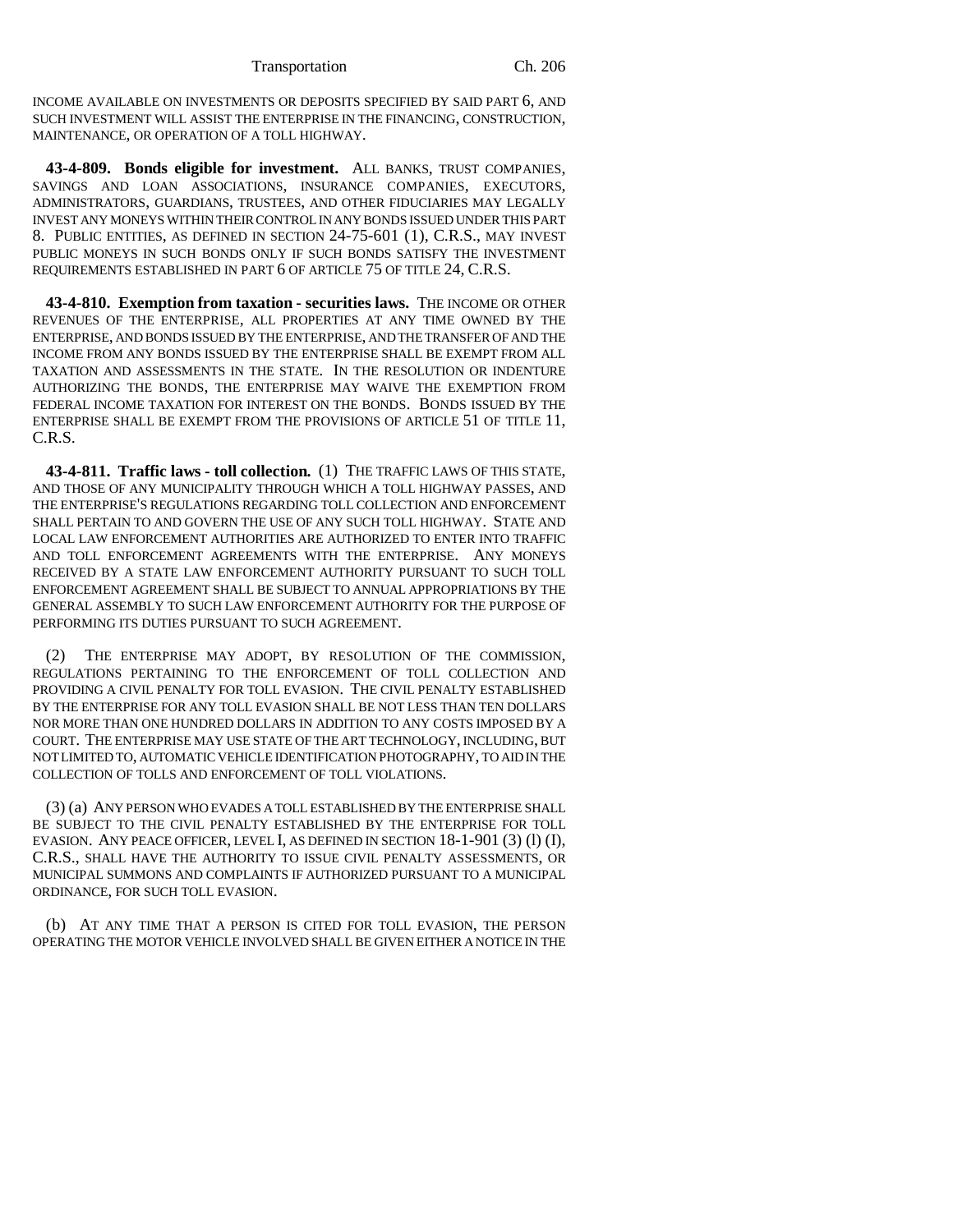INCOME AVAILABLE ON INVESTMENTS OR DEPOSITS SPECIFIED BY SAID PART 6, AND SUCH INVESTMENT WILL ASSIST THE ENTERPRISE IN THE FINANCING, CONSTRUCTION, MAINTENANCE, OR OPERATION OF A TOLL HIGHWAY.

**43-4-809. Bonds eligible for investment.** ALL BANKS, TRUST COMPANIES, SAVINGS AND LOAN ASSOCIATIONS, INSURANCE COMPANIES, EXECUTORS, ADMINISTRATORS, GUARDIANS, TRUSTEES, AND OTHER FIDUCIARIES MAY LEGALLY INVEST ANY MONEYS WITHIN THEIR CONTROL IN ANY BONDS ISSUED UNDER THIS PART 8. PUBLIC ENTITIES, AS DEFINED IN SECTION 24-75-601 (1), C.R.S., MAY INVEST PUBLIC MONEYS IN SUCH BONDS ONLY IF SUCH BONDS SATISFY THE INVESTMENT REQUIREMENTS ESTABLISHED IN PART 6 OF ARTICLE 75 OF TITLE 24, C.R.S.

**43-4-810. Exemption from taxation - securities laws.** THE INCOME OR OTHER REVENUES OF THE ENTERPRISE, ALL PROPERTIES AT ANY TIME OWNED BY THE ENTERPRISE, AND BONDS ISSUED BY THE ENTERPRISE, AND THE TRANSFER OF AND THE INCOME FROM ANY BONDS ISSUED BY THE ENTERPRISE SHALL BE EXEMPT FROM ALL TAXATION AND ASSESSMENTS IN THE STATE. IN THE RESOLUTION OR INDENTURE AUTHORIZING THE BONDS, THE ENTERPRISE MAY WAIVE THE EXEMPTION FROM FEDERAL INCOME TAXATION FOR INTEREST ON THE BONDS. BONDS ISSUED BY THE ENTERPRISE SHALL BE EXEMPT FROM THE PROVISIONS OF ARTICLE 51 OF TITLE 11, C.R.S.

**43-4-811. Traffic laws - toll collection.** (1) THE TRAFFIC LAWS OF THIS STATE, AND THOSE OF ANY MUNICIPALITY THROUGH WHICH A TOLL HIGHWAY PASSES, AND THE ENTERPRISE'S REGULATIONS REGARDING TOLL COLLECTION AND ENFORCEMENT SHALL PERTAIN TO AND GOVERN THE USE OF ANY SUCH TOLL HIGHWAY. STATE AND LOCAL LAW ENFORCEMENT AUTHORITIES ARE AUTHORIZED TO ENTER INTO TRAFFIC AND TOLL ENFORCEMENT AGREEMENTS WITH THE ENTERPRISE. ANY MONEYS RECEIVED BY A STATE LAW ENFORCEMENT AUTHORITY PURSUANT TO SUCH TOLL ENFORCEMENT AGREEMENT SHALL BE SUBJECT TO ANNUAL APPROPRIATIONS BY THE GENERAL ASSEMBLY TO SUCH LAW ENFORCEMENT AUTHORITY FOR THE PURPOSE OF PERFORMING ITS DUTIES PURSUANT TO SUCH AGREEMENT.

(2) THE ENTERPRISE MAY ADOPT, BY RESOLUTION OF THE COMMISSION, REGULATIONS PERTAINING TO THE ENFORCEMENT OF TOLL COLLECTION AND PROVIDING A CIVIL PENALTY FOR TOLL EVASION. THE CIVIL PENALTY ESTABLISHED BY THE ENTERPRISE FOR ANY TOLL EVASION SHALL BE NOT LESS THAN TEN DOLLARS NOR MORE THAN ONE HUNDRED DOLLARS IN ADDITION TO ANY COSTS IMPOSED BY A COURT. THE ENTERPRISE MAY USE STATE OF THE ART TECHNOLOGY, INCLUDING, BUT NOT LIMITED TO, AUTOMATIC VEHICLE IDENTIFICATION PHOTOGRAPHY, TO AID IN THE COLLECTION OF TOLLS AND ENFORCEMENT OF TOLL VIOLATIONS.

(3) (a) ANY PERSON WHO EVADES A TOLL ESTABLISHED BY THE ENTERPRISE SHALL BE SUBJECT TO THE CIVIL PENALTY ESTABLISHED BY THE ENTERPRISE FOR TOLL EVASION. ANY PEACE OFFICER, LEVEL I, AS DEFINED IN SECTION 18-1-901 (3) (l) (I), C.R.S., SHALL HAVE THE AUTHORITY TO ISSUE CIVIL PENALTY ASSESSMENTS, OR MUNICIPAL SUMMONS AND COMPLAINTS IF AUTHORIZED PURSUANT TO A MUNICIPAL ORDINANCE, FOR SUCH TOLL EVASION.

(b) AT ANY TIME THAT A PERSON IS CITED FOR TOLL EVASION, THE PERSON OPERATING THE MOTOR VEHICLE INVOLVED SHALL BE GIVEN EITHER A NOTICE IN THE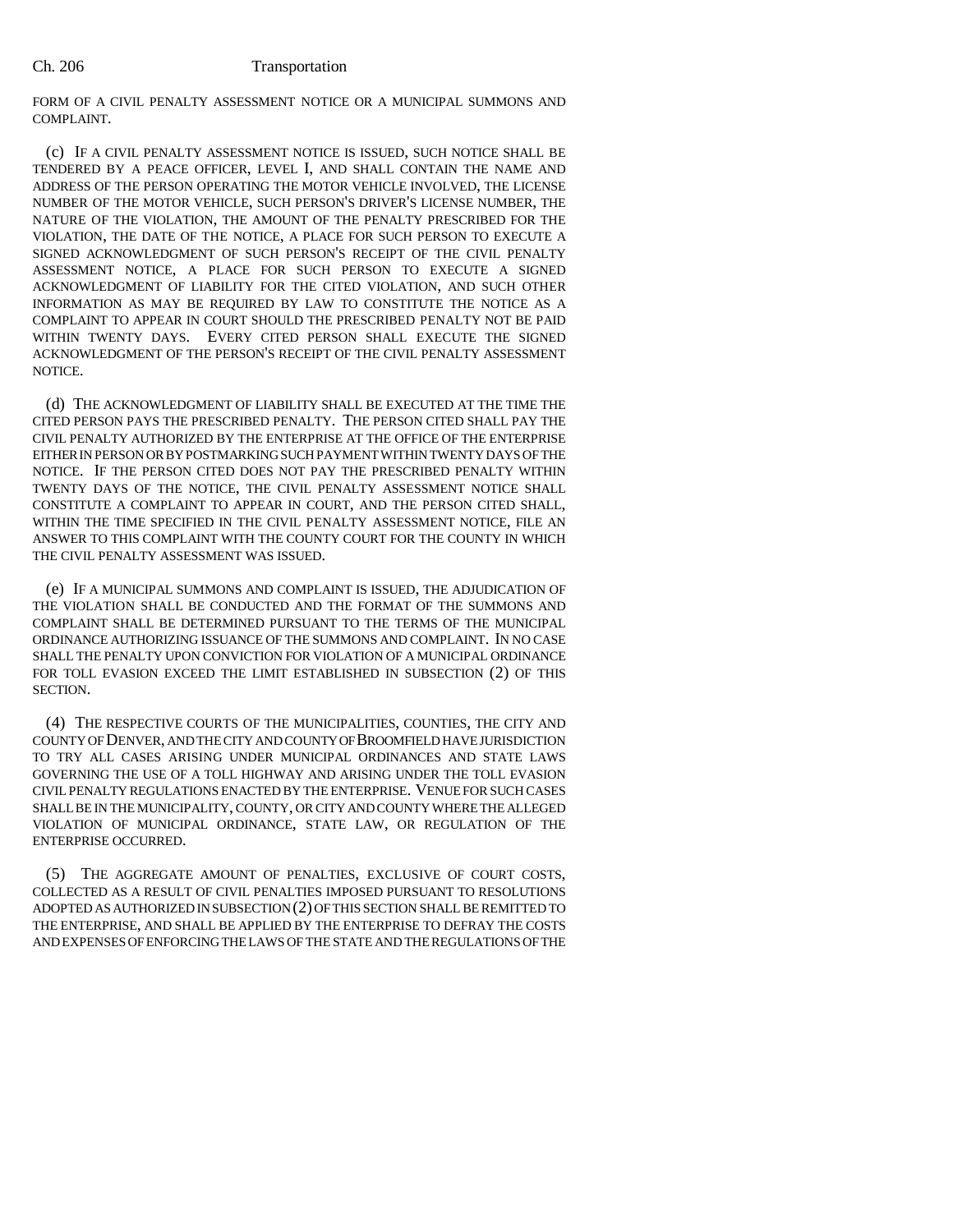FORM OF A CIVIL PENALTY ASSESSMENT NOTICE OR A MUNICIPAL SUMMONS AND COMPLAINT.

(c) IF A CIVIL PENALTY ASSESSMENT NOTICE IS ISSUED, SUCH NOTICE SHALL BE TENDERED BY A PEACE OFFICER, LEVEL I, AND SHALL CONTAIN THE NAME AND ADDRESS OF THE PERSON OPERATING THE MOTOR VEHICLE INVOLVED, THE LICENSE NUMBER OF THE MOTOR VEHICLE, SUCH PERSON'S DRIVER'S LICENSE NUMBER, THE NATURE OF THE VIOLATION, THE AMOUNT OF THE PENALTY PRESCRIBED FOR THE VIOLATION, THE DATE OF THE NOTICE, A PLACE FOR SUCH PERSON TO EXECUTE A SIGNED ACKNOWLEDGMENT OF SUCH PERSON'S RECEIPT OF THE CIVIL PENALTY ASSESSMENT NOTICE, A PLACE FOR SUCH PERSON TO EXECUTE A SIGNED ACKNOWLEDGMENT OF LIABILITY FOR THE CITED VIOLATION, AND SUCH OTHER INFORMATION AS MAY BE REQUIRED BY LAW TO CONSTITUTE THE NOTICE AS A COMPLAINT TO APPEAR IN COURT SHOULD THE PRESCRIBED PENALTY NOT BE PAID WITHIN TWENTY DAYS. EVERY CITED PERSON SHALL EXECUTE THE SIGNED ACKNOWLEDGMENT OF THE PERSON'S RECEIPT OF THE CIVIL PENALTY ASSESSMENT NOTICE.

(d) THE ACKNOWLEDGMENT OF LIABILITY SHALL BE EXECUTED AT THE TIME THE CITED PERSON PAYS THE PRESCRIBED PENALTY. THE PERSON CITED SHALL PAY THE CIVIL PENALTY AUTHORIZED BY THE ENTERPRISE AT THE OFFICE OF THE ENTERPRISE EITHER IN PERSON OR BY POSTMARKING SUCH PAYMENT WITHIN TWENTY DAYS OF THE NOTICE. IF THE PERSON CITED DOES NOT PAY THE PRESCRIBED PENALTY WITHIN TWENTY DAYS OF THE NOTICE, THE CIVIL PENALTY ASSESSMENT NOTICE SHALL CONSTITUTE A COMPLAINT TO APPEAR IN COURT, AND THE PERSON CITED SHALL, WITHIN THE TIME SPECIFIED IN THE CIVIL PENALTY ASSESSMENT NOTICE, FILE AN ANSWER TO THIS COMPLAINT WITH THE COUNTY COURT FOR THE COUNTY IN WHICH THE CIVIL PENALTY ASSESSMENT WAS ISSUED.

(e) IF A MUNICIPAL SUMMONS AND COMPLAINT IS ISSUED, THE ADJUDICATION OF THE VIOLATION SHALL BE CONDUCTED AND THE FORMAT OF THE SUMMONS AND COMPLAINT SHALL BE DETERMINED PURSUANT TO THE TERMS OF THE MUNICIPAL ORDINANCE AUTHORIZING ISSUANCE OF THE SUMMONS AND COMPLAINT. IN NO CASE SHALL THE PENALTY UPON CONVICTION FOR VIOLATION OF A MUNICIPAL ORDINANCE FOR TOLL EVASION EXCEED THE LIMIT ESTABLISHED IN SUBSECTION (2) OF THIS SECTION.

(4) THE RESPECTIVE COURTS OF THE MUNICIPALITIES, COUNTIES, THE CITY AND COUNTY OF DENVER, AND THE CITY AND COUNTY OF BROOMFIELD HAVE JURISDICTION TO TRY ALL CASES ARISING UNDER MUNICIPAL ORDINANCES AND STATE LAWS GOVERNING THE USE OF A TOLL HIGHWAY AND ARISING UNDER THE TOLL EVASION CIVIL PENALTY REGULATIONS ENACTED BY THE ENTERPRISE. VENUE FOR SUCH CASES SHALL BE IN THE MUNICIPALITY, COUNTY, OR CITY AND COUNTY WHERE THE ALLEGED VIOLATION OF MUNICIPAL ORDINANCE, STATE LAW, OR REGULATION OF THE ENTERPRISE OCCURRED.

(5) THE AGGREGATE AMOUNT OF PENALTIES, EXCLUSIVE OF COURT COSTS, COLLECTED AS A RESULT OF CIVIL PENALTIES IMPOSED PURSUANT TO RESOLUTIONS ADOPTED AS AUTHORIZED IN SUBSECTION (2) OF THIS SECTION SHALL BE REMITTED TO THE ENTERPRISE, AND SHALL BE APPLIED BY THE ENTERPRISE TO DEFRAY THE COSTS AND EXPENSES OF ENFORCING THE LAWS OF THE STATE AND THE REGULATIONS OF THE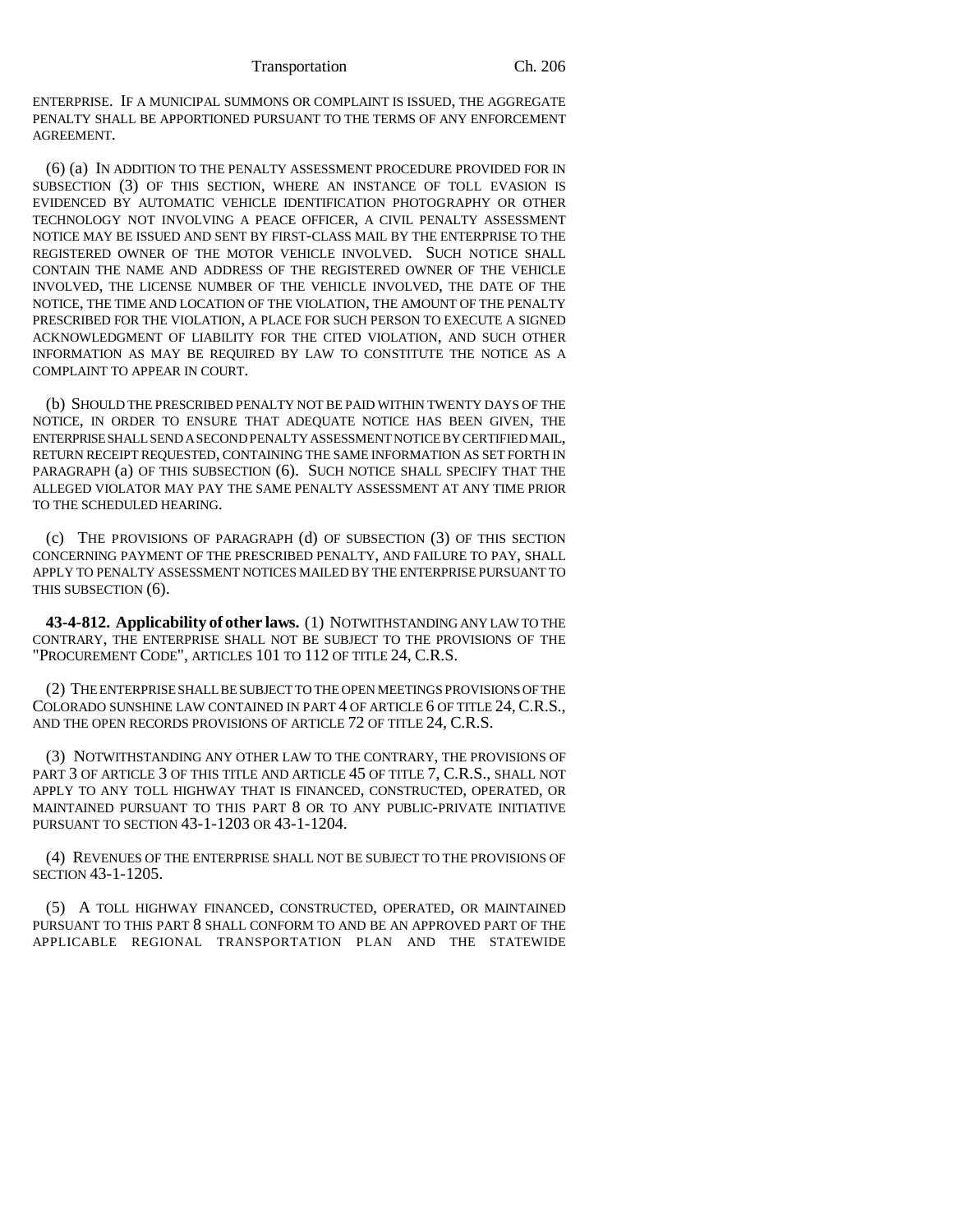ENTERPRISE. IF A MUNICIPAL SUMMONS OR COMPLAINT IS ISSUED, THE AGGREGATE PENALTY SHALL BE APPORTIONED PURSUANT TO THE TERMS OF ANY ENFORCEMENT AGREEMENT.

(6) (a) IN ADDITION TO THE PENALTY ASSESSMENT PROCEDURE PROVIDED FOR IN SUBSECTION (3) OF THIS SECTION, WHERE AN INSTANCE OF TOLL EVASION IS EVIDENCED BY AUTOMATIC VEHICLE IDENTIFICATION PHOTOGRAPHY OR OTHER TECHNOLOGY NOT INVOLVING A PEACE OFFICER, A CIVIL PENALTY ASSESSMENT NOTICE MAY BE ISSUED AND SENT BY FIRST-CLASS MAIL BY THE ENTERPRISE TO THE REGISTERED OWNER OF THE MOTOR VEHICLE INVOLVED. SUCH NOTICE SHALL CONTAIN THE NAME AND ADDRESS OF THE REGISTERED OWNER OF THE VEHICLE INVOLVED, THE LICENSE NUMBER OF THE VEHICLE INVOLVED, THE DATE OF THE NOTICE, THE TIME AND LOCATION OF THE VIOLATION, THE AMOUNT OF THE PENALTY PRESCRIBED FOR THE VIOLATION, A PLACE FOR SUCH PERSON TO EXECUTE A SIGNED ACKNOWLEDGMENT OF LIABILITY FOR THE CITED VIOLATION, AND SUCH OTHER INFORMATION AS MAY BE REQUIRED BY LAW TO CONSTITUTE THE NOTICE AS A COMPLAINT TO APPEAR IN COURT.

(b) SHOULD THE PRESCRIBED PENALTY NOT BE PAID WITHIN TWENTY DAYS OF THE NOTICE, IN ORDER TO ENSURE THAT ADEQUATE NOTICE HAS BEEN GIVEN, THE ENTERPRISE SHALL SEND A SECOND PENALTY ASSESSMENT NOTICE BY CERTIFIED MAIL, RETURN RECEIPT REQUESTED, CONTAINING THE SAME INFORMATION AS SET FORTH IN PARAGRAPH (a) OF THIS SUBSECTION (6). SUCH NOTICE SHALL SPECIFY THAT THE ALLEGED VIOLATOR MAY PAY THE SAME PENALTY ASSESSMENT AT ANY TIME PRIOR TO THE SCHEDULED HEARING.

(c) THE PROVISIONS OF PARAGRAPH (d) OF SUBSECTION (3) OF THIS SECTION CONCERNING PAYMENT OF THE PRESCRIBED PENALTY, AND FAILURE TO PAY, SHALL APPLY TO PENALTY ASSESSMENT NOTICES MAILED BY THE ENTERPRISE PURSUANT TO THIS SUBSECTION (6).

**43-4-812. Applicability of other laws.** (1) NOTWITHSTANDING ANY LAW TO THE CONTRARY, THE ENTERPRISE SHALL NOT BE SUBJECT TO THE PROVISIONS OF THE "PROCUREMENT CODE", ARTICLES 101 TO 112 OF TITLE 24, C.R.S.

(2) THE ENTERPRISE SHALL BE SUBJECT TO THE OPEN MEETINGS PROVISIONS OF THE COLORADO SUNSHINE LAW CONTAINED IN PART 4 OF ARTICLE 6 OF TITLE 24, C.R.S., AND THE OPEN RECORDS PROVISIONS OF ARTICLE 72 OF TITLE 24, C.R.S.

(3) NOTWITHSTANDING ANY OTHER LAW TO THE CONTRARY, THE PROVISIONS OF PART 3 OF ARTICLE 3 OF THIS TITLE AND ARTICLE 45 OF TITLE 7, C.R.S., SHALL NOT APPLY TO ANY TOLL HIGHWAY THAT IS FINANCED, CONSTRUCTED, OPERATED, OR MAINTAINED PURSUANT TO THIS PART 8 OR TO ANY PUBLIC-PRIVATE INITIATIVE PURSUANT TO SECTION 43-1-1203 OR 43-1-1204.

(4) REVENUES OF THE ENTERPRISE SHALL NOT BE SUBJECT TO THE PROVISIONS OF SECTION 43-1-1205.

(5) A TOLL HIGHWAY FINANCED, CONSTRUCTED, OPERATED, OR MAINTAINED PURSUANT TO THIS PART 8 SHALL CONFORM TO AND BE AN APPROVED PART OF THE APPLICABLE REGIONAL TRANSPORTATION PLAN AND THE STATEWIDE